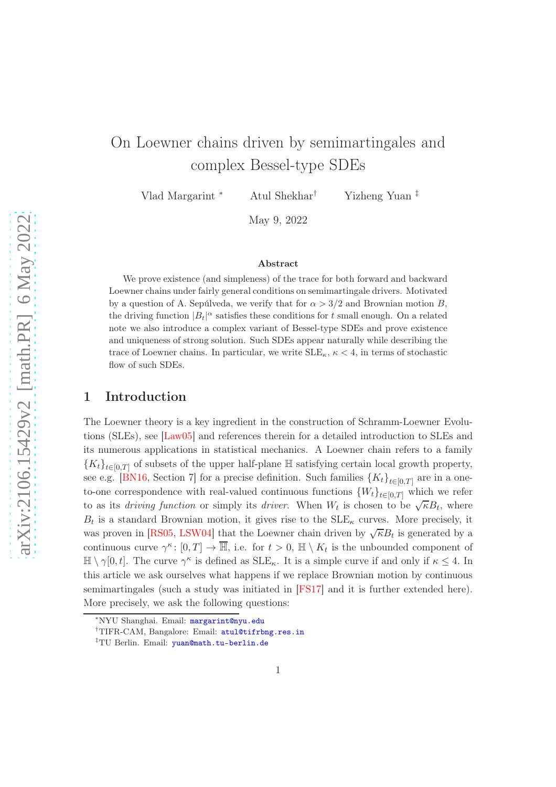# On Loewner chains driven by semimartingales and complex Bessel-type SDEs

Vlad Margarint <sup>∗</sup> Atul Shekhar† Yizheng Yuan ‡

May 9, 2022

#### Abstract

We prove existence (and simpleness) of the trace for both forward and backward Loewner chains under fairly general conditions on semimartingale drivers. Motivated by a question of A. Sepúlveda, we verify that for  $\alpha > 3/2$  and Brownian motion B, the driving function  $|B_t|^{\alpha}$  satisfies these conditions for t small enough. On a related note we also introduce a complex variant of Bessel-type SDEs and prove existence and uniqueness of strong solution. Such SDEs appear naturally while describing the trace of Loewner chains. In particular, we write  $\text{SLE}_\kappa$ ,  $\kappa < 4$ , in terms of stochastic flow of such SDEs.

# 1 Introduction

The Loewner theory is a key ingredient in the construction of Schramm-Loewner Evolutions (SLEs), see [\[Law05\]](#page-34-0) and references therein for a detailed introduction to SLEs and its numerous applications in statistical mechanics. A Loewner chain refers to a family  ${K_t}_{t\in[0,T]}$  of subsets of the upper half-plane  $\mathbb H$  satisfying certain local growth property, see e.g. [\[BN16,](#page-33-0) Section 7] for a precise definition. Such families  $\{K_t\}_{t\in[0,T]}$  are in a oneto-one correspondence with real-valued continuous functions  ${W_t}_{t \in [0,T]}$  which we refer to as its *driving function* or simply its *driver*. When  $W_t$  is chosen to be  $\sqrt{\kappa}B_t$ , where  $B_t$  is a standard Brownian motion, it gives rise to the  $SLE_\kappa$  curves. More precisely, it was proven in [\[RS05,](#page-34-1) [LSW04\]](#page-34-2) that the Loewner chain driven by  $\sqrt{\kappa}B_t$  is generated by a continuous curve  $\gamma^k: [0,T] \to \overline{\mathbb{H}}$ , i.e. for  $t > 0$ ,  $\mathbb{H} \setminus K_t$  is the unbounded component of  $\mathbb{H} \setminus \gamma[0, t]$ . The curve  $\gamma^{\kappa}$  is defined as  $\text{SLE}_{\kappa}$ . It is a simple curve if and only if  $\kappa \leq 4$ . In this article we ask ourselves what happens if we replace Brownian motion by continuous semimartingales (such a study was initiated in [\[FS17\]](#page-33-1) and it is further extended here). More precisely, we ask the following questions:

<sup>∗</sup>NYU Shanghai. Email: <margarint@nyu.edu>

<sup>&</sup>lt;sup>†</sup>TIFR-CAM, Bangalore: Email: <atul@tifrbng.res.in>

<sup>‡</sup>TU Berlin. Email: <yuan@math.tu-berlin.de>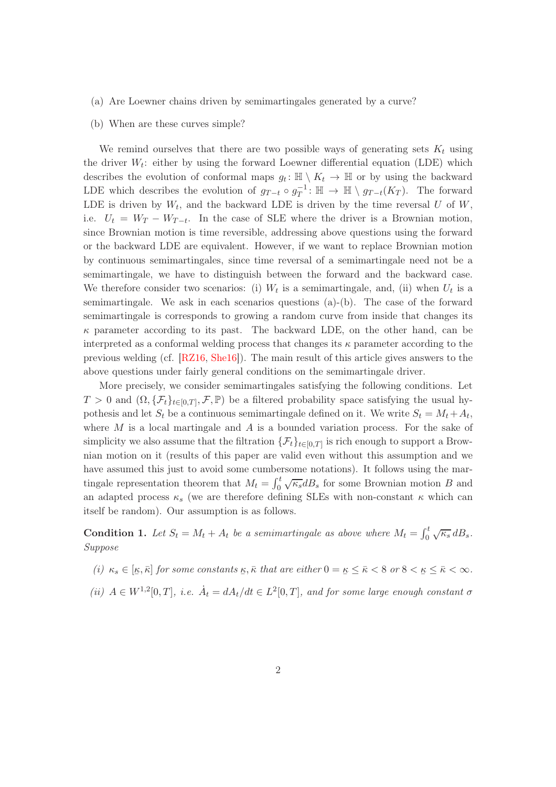- (a) Are Loewner chains driven by semimartingales generated by a curve?
- (b) When are these curves simple?

We remind ourselves that there are two possible ways of generating sets  $K_t$  using the driver  $W_t$ : either by using the forward Loewner differential equation (LDE) which describes the evolution of conformal maps  $g_t: \mathbb{H} \setminus K_t \to \mathbb{H}$  or by using the backward LDE which describes the evolution of  $g_{T-t} \circ g_T^{-1}$  $T^{-1}: \mathbb{H} \to \mathbb{H} \setminus g_{T-t}(K_T)$ . The forward LDE is driven by  $W_t$ , and the backward LDE is driven by the time reversal U of W, i.e.  $U_t = W_T - W_{T-t}$ . In the case of SLE where the driver is a Brownian motion, since Brownian motion is time reversible, addressing above questions using the forward or the backward LDE are equivalent. However, if we want to replace Brownian motion by continuous semimartingales, since time reversal of a semimartingale need not be a semimartingale, we have to distinguish between the forward and the backward case. We therefore consider two scenarios: (i)  $W_t$  is a semimartingale, and, (ii) when  $U_t$  is a semimartingale. We ask in each scenarios questions (a)-(b). The case of the forward semimartingale is corresponds to growing a random curve from inside that changes its  $\kappa$  parameter according to its past. The backward LDE, on the other hand, can be interpreted as a conformal welding process that changes its  $\kappa$  parameter according to the previous welding (cf. [\[RZ16,](#page-34-3) [She16\]](#page-34-4)). The main result of this article gives answers to the above questions under fairly general conditions on the semimartingale driver.

More precisely, we consider semimartingales satisfying the following conditions. Let  $T > 0$  and  $(\Omega, {\{\mathcal{F}_t\}}_{t \in [0,T]}, \mathcal{F}, \mathbb{P})$  be a filtered probability space satisfying the usual hypothesis and let  $S_t$  be a continuous semimartingale defined on it. We write  $S_t = M_t + A_t$ , where  $M$  is a local martingale and  $A$  is a bounded variation process. For the sake of simplicity we also assume that the filtration  $\{\mathcal{F}_t\}_{t\in[0,T]}$  is rich enough to support a Brownian motion on it (results of this paper are valid even without this assumption and we have assumed this just to avoid some cumbersome notations). It follows using the martingale representation theorem that  $M_t = \int_0^t \sqrt{\kappa_s} dB_s$  for some Brownian motion B and an adapted process  $\kappa_s$  (we are therefore defining SLEs with non-constant  $\kappa$  which can itself be random). Our assumption is as follows.

<span id="page-1-0"></span>**Condition 1.** Let  $S_t = M_t + A_t$  be a semimartingale as above where  $M_t = \int_0^t \sqrt{\kappa_s} dB_s$ . Suppose

- (i)  $\kappa_s \in [\underline{\kappa}, \overline{\kappa}]$  for some constants  $\underline{\kappa}, \overline{\kappa}$  that are either  $0 = \underline{\kappa} \leq \overline{\kappa} < 8$  or  $8 < \underline{\kappa} \leq \overline{\kappa} < \infty$ .
- (ii)  $A \in W^{1,2}[0,T]$ , i.e.  $A_t = dA_t/dt \in L^2[0,T]$ , and for some large enough constant  $\sigma$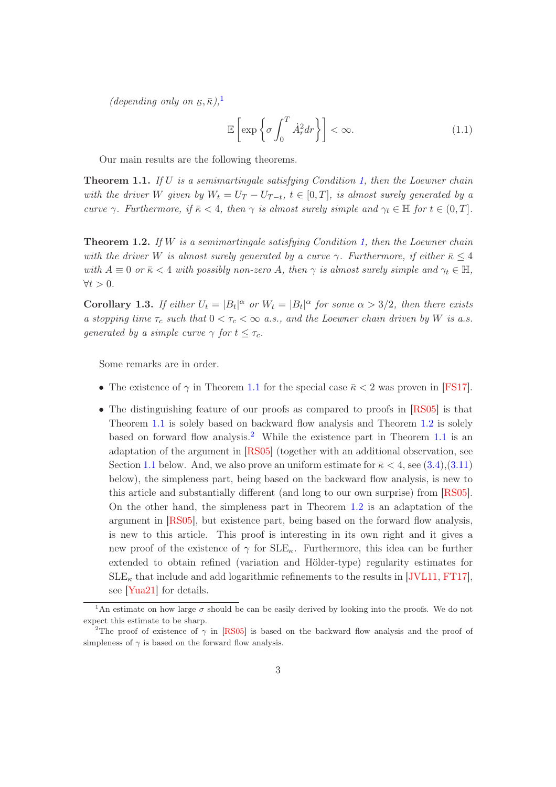(depending only on  $\underline{\kappa}, \overline{\kappa}$ ),<sup>[1](#page-2-0)</sup>

<span id="page-2-5"></span>
$$
\mathbb{E}\left[\exp\left\{\sigma \int_0^T \dot{A}_r^2 dr\right\}\right] < \infty. \tag{1.1}
$$

<span id="page-2-1"></span>Our main results are the following theorems.

**Theorem 1.1.** If  $U$  is a semimartingale satisfying Condition [1,](#page-1-0) then the Loewner chain with the driver W given by  $W_t = U_T - U_{T-t}$ ,  $t \in [0,T]$ , is almost surely generated by a curve  $\gamma$ . Furthermore, if  $\bar{\kappa} < 4$ , then  $\gamma$  is almost surely simple and  $\gamma_t \in \mathbb{H}$  for  $t \in (0, T]$ .

<span id="page-2-2"></span>**Theorem 1.2.** If W is a semimartingale satisfying Condition [1,](#page-1-0) then the Loewner chain with the driver W is almost surely generated by a curve  $\gamma$ . Furthermore, if either  $\bar{\kappa} \leq 4$ with  $A \equiv 0$  or  $\bar{\kappa} < 4$  with possibly non-zero A, then  $\gamma$  is almost surely simple and  $\gamma_t \in \mathbb{H}$ ,  $\forall t > 0.$ 

<span id="page-2-4"></span>**Corollary 1.3.** If either  $U_t = |B_t|^\alpha$  or  $W_t = |B_t|^\alpha$  for some  $\alpha > 3/2$ , then there exists a stopping time  $\tau_c$  such that  $0 < \tau_c < \infty$  a.s., and the Loewner chain driven by W is a.s. generated by a simple curve  $\gamma$  for  $t \leq \tau_c$ .

Some remarks are in order.

- The existence of  $\gamma$  in Theorem [1.1](#page-2-1) for the special case  $\bar{\kappa}$  < 2 was proven in [\[FS17\]](#page-33-1).
- The distinguishing feature of our proofs as compared to proofs in [\[RS05\]](#page-34-1) is that Theorem [1.1](#page-2-1) is solely based on backward flow analysis and Theorem [1.2](#page-2-2) is solely based on forward flow analysis.<sup>[2](#page-2-3)</sup> While the existence part in Theorem [1.1](#page-2-1) is an adaptation of the argument in [\[RS05\]](#page-34-1) (together with an additional observation, see Section [1.1](#page-7-0) below. And, we also prove an uniform estimate for  $\bar{\kappa} < 4$ , see [\(3.4\)](#page-12-0),[\(3.11\)](#page-15-0) below), the simpleness part, being based on the backward flow analysis, is new to this article and substantially different (and long to our own surprise) from [\[RS05\]](#page-34-1). On the other hand, the simpleness part in Theorem [1.2](#page-2-2) is an adaptation of the argument in [\[RS05\]](#page-34-1), but existence part, being based on the forward flow analysis, is new to this article. This proof is interesting in its own right and it gives a new proof of the existence of  $\gamma$  for  $SLE_{\kappa}$ . Furthermore, this idea can be further extended to obtain refined (variation and Hölder-type) regularity estimates for  $SLE_{\kappa}$  that include and add logarithmic refinements to the results in [\[JVL11,](#page-34-5) [FT17\]](#page-33-2), see [\[Yua21\]](#page-35-0) for details.

<span id="page-2-0"></span><sup>&</sup>lt;sup>1</sup>An estimate on how large  $\sigma$  should be can be easily derived by looking into the proofs. We do not expect this estimate to be sharp.

<span id="page-2-3"></span><sup>&</sup>lt;sup>2</sup>The proof of existence of  $\gamma$  in [\[RS05\]](#page-34-1) is based on the backward flow analysis and the proof of simpleness of  $\gamma$  is based on the forward flow analysis.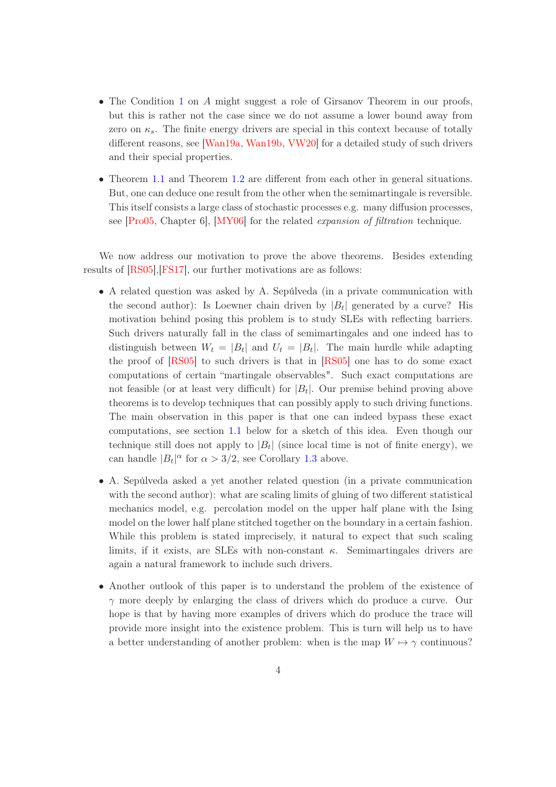- The Condition [1](#page-1-0) on A might suggest a role of Girsanov Theorem in our proofs, but this is rather not the case since we do not assume a lower bound away from zero on  $\kappa_s$ . The finite energy drivers are special in this context because of totally different reasons, see [\[Wan19a,](#page-35-1) [Wan19b,](#page-35-2) [VW20\]](#page-35-3) for a detailed study of such drivers and their special properties.
- Theorem [1.1](#page-2-1) and Theorem [1.2](#page-2-2) are different from each other in general situations. But, one can deduce one result from the other when the semimartingale is reversible. This itself consists a large class of stochastic processes e.g. many diffusion processes, see [\[Pro05,](#page-34-6) Chapter 6], [\[MY06\]](#page-34-7) for the related expansion of filtration technique.

We now address our motivation to prove the above theorems. Besides extending results of [\[RS05\]](#page-34-1),[\[FS17\]](#page-33-1), our further motivations are as follows:

- A related question was asked by A. Sepúlveda (in a private communication with the second author): Is Loewner chain driven by  $|B_t|$  generated by a curve? His motivation behind posing this problem is to study SLEs with reflecting barriers. Such drivers naturally fall in the class of semimartingales and one indeed has to distinguish between  $W_t = |B_t|$  and  $U_t = |B_t|$ . The main hurdle while adapting the proof of [\[RS05\]](#page-34-1) to such drivers is that in [\[RS05\]](#page-34-1) one has to do some exact computations of certain "martingale observables". Such exact computations are not feasible (or at least very difficult) for  $|B_t|$ . Our premise behind proving above theorems is to develop techniques that can possibly apply to such driving functions. The main observation in this paper is that one can indeed bypass these exact computations, see section [1.1](#page-7-0) below for a sketch of this idea. Even though our technique still does not apply to  $|B_t|$  (since local time is not of finite energy), we can handle  $|B_t|^{\alpha}$  for  $\alpha > 3/2$ , see Corollary [1.3](#page-2-4) above.
- A. Sepúlveda asked a yet another related question (in a private communication with the second author): what are scaling limits of gluing of two different statistical mechanics model, e.g. percolation model on the upper half plane with the Ising model on the lower half plane stitched together on the boundary in a certain fashion. While this problem is stated imprecisely, it natural to expect that such scaling limits, if it exists, are SLEs with non-constant  $\kappa$ . Semimartingales drivers are again a natural framework to include such drivers.
- Another outlook of this paper is to understand the problem of the existence of  $\gamma$  more deeply by enlarging the class of drivers which do produce a curve. Our hope is that by having more examples of drivers which do produce the trace will provide more insight into the existence problem. This is turn will help us to have a better understanding of another problem: when is the map  $W \mapsto \gamma$  continuous?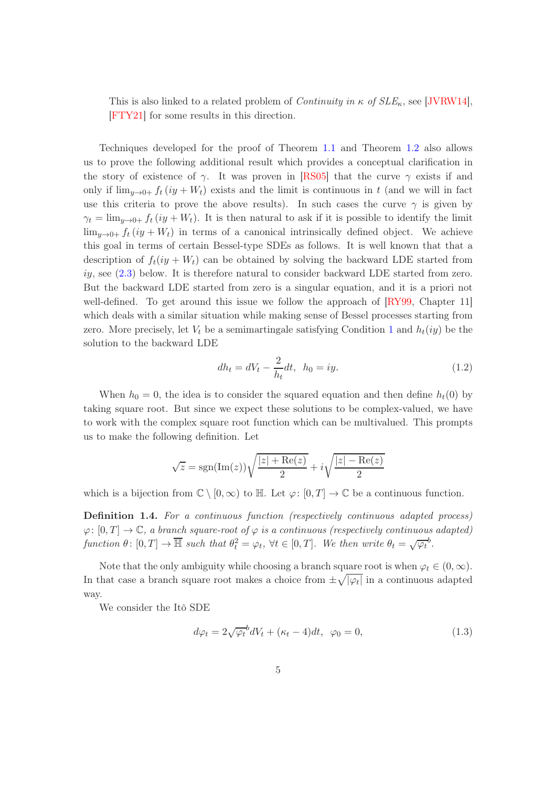This is also linked to a related problem of *Continuity in*  $\kappa$  of  $SLE_{\kappa}$ , see [\[JVRW14\]](#page-34-8), [\[FTY21\]](#page-33-3) for some results in this direction.

Techniques developed for the proof of Theorem [1.1](#page-2-1) and Theorem [1.2](#page-2-2) also allows us to prove the following additional result which provides a conceptual clarification in the story of existence of  $\gamma$ . It was proven in [\[RS05\]](#page-34-1) that the curve  $\gamma$  exists if and only if  $\lim_{u\to 0^+} f_t(iy + W_t)$  exists and the limit is continuous in t (and we will in fact use this criteria to prove the above results). In such cases the curve  $\gamma$  is given by  $\gamma_t = \lim_{y \to 0^+} f_t(iy + W_t)$ . It is then natural to ask if it is possible to identify the limit  $\lim_{y\to 0+} f_t(iy + W_t)$  in terms of a canonical intrinsically defined object. We achieve this goal in terms of certain Bessel-type SDEs as follows. It is well known that that a description of  $f_t(iy + W_t)$  can be obtained by solving the backward LDE started from  $iiy$ , see  $(2.3)$  below. It is therefore natural to consider backward LDE started from zero. But the backward LDE started from zero is a singular equation, and it is a priori not well-defined. To get around this issue we follow the approach of  $\Gamma$ [RY99, Chapter 11] which deals with a similar situation while making sense of Bessel processes starting from zero. More precisely, let  $V_t$  be a semimartingale satisfying Condition [1](#page-1-0) and  $h_t(iy)$  be the solution to the backward LDE

<span id="page-4-1"></span>
$$
dh_t = dV_t - \frac{2}{h_t}dt, \ \ h_0 = iy.
$$
\n(1.2)

When  $h_0 = 0$ , the idea is to consider the squared equation and then define  $h_t(0)$  by taking square root. But since we expect these solutions to be complex-valued, we have to work with the complex square root function which can be multivalued. This prompts us to make the following definition. Let

$$
\sqrt{z} = \text{sgn}(\text{Im}(z))\sqrt{\frac{|z| + \text{Re}(z)}{2}} + i\sqrt{\frac{|z| - \text{Re}(z)}{2}}
$$

which is a bijection from  $\mathbb{C} \setminus [0,\infty)$  to  $\mathbb{H}$ . Let  $\varphi: [0,T] \to \mathbb{C}$  be a continuous function.

Definition 1.4. For a continuous function (respectively continuous adapted process)  $\varphi: [0, T] \to \mathbb{C}$ , a branch square-root of  $\varphi$  is a continuous (respectively continuous adapted) function  $\theta \colon [0,T] \to \overline{\mathbb{H}}$  such that  $\theta_t^2 = \varphi_t$ ,  $\forall t \in [0,T]$ . We then write  $\theta_t = \sqrt{\varphi_t}^b$ .

Note that the only ambiguity while choosing a branch square root is when  $\varphi_t \in (0,\infty)$ . In that case a branch square root makes a choice from  $\pm \sqrt{|\varphi_t|}$  in a continuous adapted way.

We consider the Itô SDE

<span id="page-4-0"></span>
$$
d\varphi_t = 2\sqrt{\varphi_t}^b dV_t + (\kappa_t - 4)dt, \ \varphi_0 = 0,
$$
\n(1.3)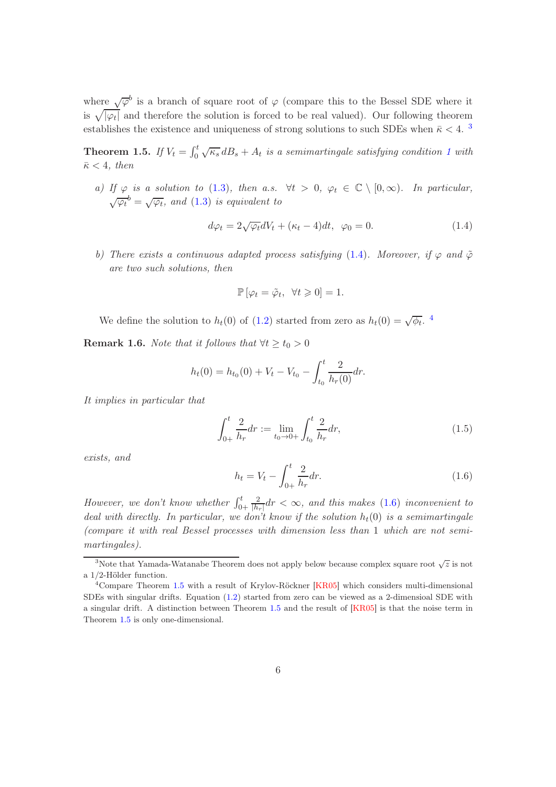where  $\sqrt{\varphi}^b$  is a branch of square root of  $\varphi$  (compare this to the Bessel SDE where it is  $\sqrt{|\varphi_t|}$  and therefore the solution is forced to be real valued). Our following theorem establishes the existence and uniqueness of strong solutions to such SDEs when  $\bar{\kappa}$  < 4. <sup>[3](#page-5-0)</sup>

<span id="page-5-4"></span>**Theorem [1](#page-1-0).5.** If  $V_t = \int_0^t \sqrt{\kappa_s} dB_s + A_t$  is a semimartingale satisfying condition 1 with  $\bar{\kappa}$  < 4, then

a) If  $\varphi$  is a solution to [\(1.3\)](#page-4-0), then a.s.  $\forall t > 0$ ,  $\varphi_t \in \mathbb{C} \setminus [0, \infty)$ . In particular,  $\sqrt{\varphi_t}^b = \sqrt{\varphi_t}$ , and [\(1.3\)](#page-4-0) is equivalent to

<span id="page-5-1"></span>
$$
d\varphi_t = 2\sqrt{\varphi_t}dV_t + (\kappa_t - 4)dt, \ \varphi_0 = 0. \tag{1.4}
$$

b) There exists a continuous adapted process satisfying [\(1.4\)](#page-5-1). Moreover, if  $\varphi$  and  $\tilde{\varphi}$ are two such solutions, then

$$
\mathbb{P}\left[\varphi_t = \tilde{\varphi}_t, \ \forall t \geq 0\right] = 1.
$$

We define the solution to  $h_t(0)$  of [\(1.2\)](#page-4-1) started from zero as  $h_t(0) = \sqrt{\phi_t}$ .

**Remark 1.6.** Note that it follows that  $\forall t \geq t_0 > 0$ 

$$
h_t(0) = h_{t_0}(0) + V_t - V_{t_0} - \int_{t_0}^t \frac{2}{h_r(0)} dr.
$$

It implies in particular that

$$
\int_{0+}^{t} \frac{2}{h_r} dr := \lim_{t_0 \to 0+} \int_{t_0}^{t} \frac{2}{h_r} dr,
$$
\n(1.5)

exists, and

<span id="page-5-3"></span>
$$
h_t = V_t - \int_{0+}^t \frac{2}{h_r} dr.
$$
\n(1.6)

However, we don't know whether  $\int_{0+}^{t}$ 2  $\frac{2}{|h_r|}$ dr  $\lt \infty$ , and this makes [\(1.6\)](#page-5-3) inconvenient to deal with directly. In particular, we don't know if the solution  $h_t(0)$  is a semimartingale (compare it with real Bessel processes with dimension less than 1 which are not semimartingales).

<span id="page-5-0"></span><sup>&</sup>lt;sup>3</sup>Note that Yamada-Watanabe Theorem does not apply below because complex square root  $\sqrt{z}$  is not a 1/2-Hölder function.

<span id="page-5-2"></span><sup>4</sup>Compare Theorem [1.5](#page-5-4) with a result of Krylov-Röckner [\[KR05\]](#page-34-10) which considers multi-dimensional SDEs with singular drifts. Equation [\(1.2\)](#page-4-1) started from zero can be viewed as a 2-dimensioal SDE with a singular drift. A distinction between Theorem [1.5](#page-5-4) and the result of [\[KR05\]](#page-34-10) is that the noise term in Theorem [1.5](#page-5-4) is only one-dimensional.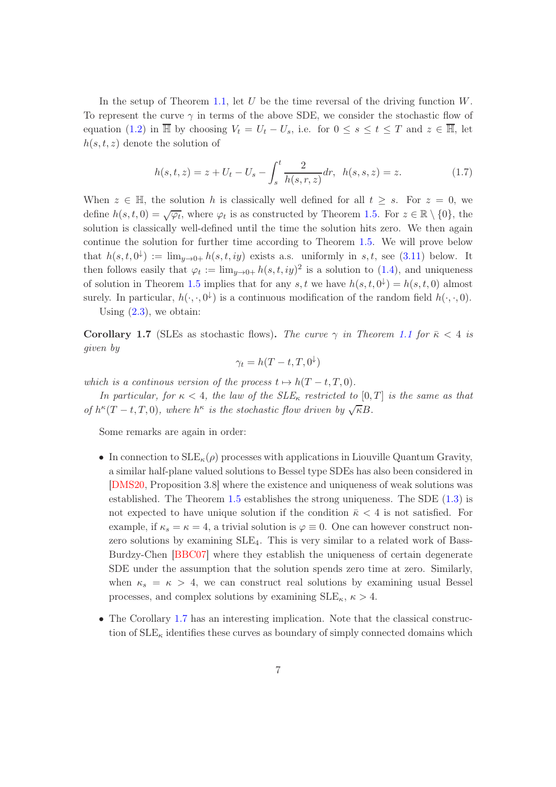In the setup of Theorem [1.1,](#page-2-1) let  $U$  be the time reversal of the driving function  $W$ . To represent the curve  $\gamma$  in terms of the above SDE, we consider the stochastic flow of equation [\(1.2\)](#page-4-1) in  $\overline{\mathbb{H}}$  by choosing  $V_t = U_t - U_s$ , i.e. for  $0 \leq s \leq t \leq T$  and  $z \in \overline{\mathbb{H}}$ , let  $h(s, t, z)$  denote the solution of

$$
h(s,t,z) = z + U_t - U_s - \int_s^t \frac{2}{h(s,r,z)} dr, \quad h(s,s,z) = z.
$$
 (1.7)

When  $z \in \mathbb{H}$ , the solution h is classically well defined for all  $t > s$ . For  $z = 0$ , we define  $h(s,t,0) = \sqrt{\varphi_t}$ , where  $\varphi_t$  is as constructed by Theorem [1.5.](#page-5-4) For  $z \in \mathbb{R} \setminus \{0\}$ , the solution is classically well-defined until the time the solution hits zero. We then again continue the solution for further time according to Theorem [1.5.](#page-5-4) We will prove below that  $h(s, t, 0^{\downarrow}) := \lim_{y \to 0+} h(s, t, iy)$  exists a.s. uniformly in s, t, see [\(3.11\)](#page-15-0) below. It then follows easily that  $\varphi_t := \lim_{y \to 0+} h(s, t, iy)^2$  is a solution to [\(1.4\)](#page-5-1), and uniqueness of solution in Theorem [1.5](#page-5-4) implies that for any s, t we have  $h(s,t,0^{\downarrow}) = h(s,t,0)$  almost surely. In particular,  $h(\cdot, \cdot, 0^{\downarrow})$  is a continuous modification of the random field  $h(\cdot, \cdot, 0)$ .

<span id="page-6-0"></span>Using  $(2.3)$ , we obtain:

Corollary 1.7 (SLEs as stochastic flows). The curve  $\gamma$  in Theorem [1.1](#page-2-1) for  $\bar{\kappa}$  < 4 is given by

$$
\gamma_t = h(T - t, T, 0^{\downarrow})
$$

which is a continous version of the process  $t \mapsto h(T - t, T, 0)$ .

In particular, for  $\kappa < 4$ , the law of the  $SLE_{\kappa}$  restricted to  $[0, T]$  is the same as that of  $h^{\kappa}(T-t,T,0)$ , where  $h^{\kappa}$  is the stochastic flow driven by  $\sqrt{\kappa}B$ .

Some remarks are again in order:

- In connection to  $SLE_{\kappa}(\rho)$  processes with applications in Liouville Quantum Gravity, a similar half-plane valued solutions to Bessel type SDEs has also been considered in [\[DMS20,](#page-33-4) Proposition 3.8] where the existence and uniqueness of weak solutions was established. The Theorem [1.5](#page-5-4) establishes the strong uniqueness. The SDE [\(1.3\)](#page-4-0) is not expected to have unique solution if the condition  $\bar{\kappa} < 4$  is not satisfied. For example, if  $\kappa_s = \kappa = 4$ , a trivial solution is  $\varphi \equiv 0$ . One can however construct nonzero solutions by examining SLE4. This is very similar to a related work of Bass-Burdzy-Chen [\[BBC07\]](#page-33-5) where they establish the uniqueness of certain degenerate SDE under the assumption that the solution spends zero time at zero. Similarly, when  $\kappa_s = \kappa > 4$ , we can construct real solutions by examining usual Bessel processes, and complex solutions by examining  $\text{SLE}_{\kappa}$ ,  $\kappa > 4$ .
- The Corollary [1.7](#page-6-0) has an interesting implication. Note that the classical construction of  $\text{SLE}_{\kappa}$  identifies these curves as boundary of simply connected domains which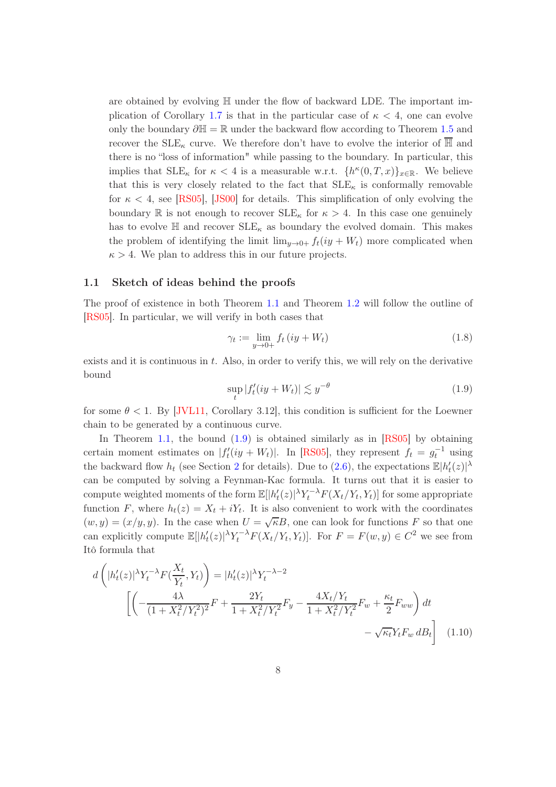are obtained by evolving  $\mathbb H$  under the flow of backward LDE. The important im-plication of Corollary [1.7](#page-6-0) is that in the particular case of  $\kappa < 4$ , one can evolve only the boundary  $\partial \mathbb{H} = \mathbb{R}$  under the backward flow according to Theorem [1.5](#page-5-4) and recover the  $\text{SLE}_{\kappa}$  curve. We therefore don't have to evolve the interior of  $\overline{\mathbb{H}}$  and there is no "loss of information" while passing to the boundary. In particular, this implies that  $\text{SLE}_{\kappa}$  for  $\kappa < 4$  is a measurable w.r.t.  $\{h^{\kappa}(0,T,x)\}_{x \in \mathbb{R}}$ . We believe that this is very closely related to the fact that  $SLE_{\kappa}$  is conformally removable for  $\kappa < 4$ , see [\[RS05\]](#page-34-1), [\[JS00\]](#page-33-6) for details. This simplification of only evolving the boundary R is not enough to recover  $\text{SLE}_{\kappa}$  for  $\kappa > 4$ . In this case one genuinely has to evolve  $\mathbb H$  and recover  $\operatorname{SLE}_\kappa$  as boundary the evolved domain. This makes the problem of identifying the limit  $\lim_{y\to 0+} f_t(iy + W_t)$  more complicated when  $\kappa > 4$ . We plan to address this in our future projects.

#### <span id="page-7-0"></span>1.1 Sketch of ideas behind the proofs

The proof of existence in both Theorem [1.1](#page-2-1) and Theorem [1.2](#page-2-2) will follow the outline of [\[RS05\]](#page-34-1). In particular, we will verify in both cases that

$$
\gamma_t := \lim_{y \to 0+} f_t \left( iy + W_t \right) \tag{1.8}
$$

exists and it is continuous in t. Also, in order to verify this, we will rely on the derivative bound

<span id="page-7-2"></span><span id="page-7-1"></span>
$$
\sup_{t} |f'_t(iy + W_t)| \lesssim y^{-\theta}
$$
\n(1.9)

for some  $\theta < 1$ . By JVL11, Corollary 3.12, this condition is sufficient for the Loewner chain to be generated by a continuous curve.

In Theorem [1.1,](#page-2-1) the bound  $(1.9)$  is obtained similarly as in  $[RS05]$  by obtaining certain moment estimates on  $|f_t'(iy + W_t)|$ . In [\[RS05\]](#page-34-1), they represent  $f_t = g_t^{-1}$  using the backward flow  $h_t$  (see Section [2](#page-9-0) for details). Due to [\(2.6\)](#page-11-0), the expectations  $\mathbb{E}|h_t'(z)|^{\lambda}$ can be computed by solving a Feynman-Kac formula. It turns out that it is easier to compute weighted moments of the form  $\mathbb{E}[|h_t'(z)|^{\lambda} Y_t^{-\lambda} F(X_t/Y_t, Y_t)]$  for some appropriate function F, where  $h_t(z) = X_t + iY_t$ . It is also convenient to work with the coordinates  $(w, y) = (x/y, y)$ . In the case when  $U = \sqrt{\kappa}B$ , one can look for functions F so that one can explicitly compute  $\mathbb{E}[|h_t'(z)|^{\lambda} Y_t^{-\lambda} F(X_t/Y_t, Y_t)].$  For  $F = F(w, y) \in C^2$  we see from Itô formula that

$$
d\left(|h'_t(z)|^{\lambda}Y_t^{-\lambda}F(\frac{X_t}{Y_t}, Y_t)\right) = |h'_t(z)|^{\lambda}Y_t^{-\lambda-2}
$$

$$
\left[\left(-\frac{4\lambda}{(1+X_t^2/Y_t^2)^2}F + \frac{2Y_t}{1+X_t^2/Y_t^2}F_y - \frac{4X_t/Y_t}{1+X_t^2/Y_t^2}F_w + \frac{\kappa_t}{2}F_{ww}\right)dt - \sqrt{\kappa_t}Y_tF_w dB_t\right] (1.10)
$$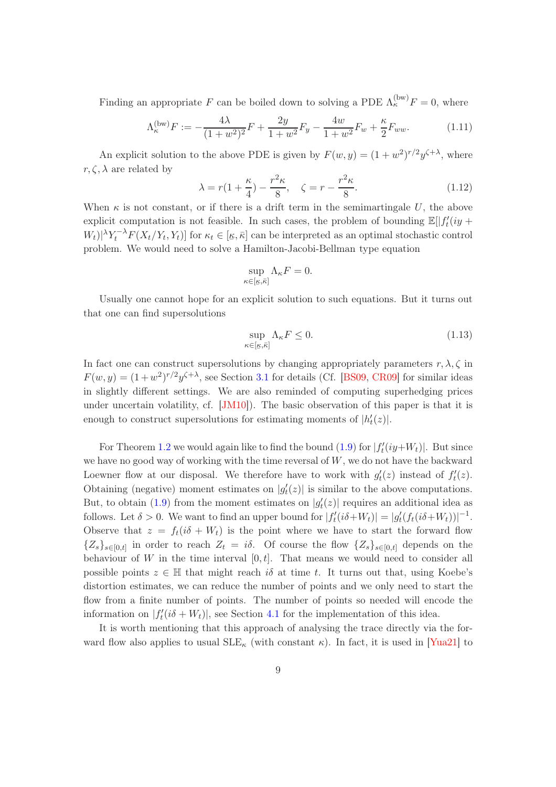Finding an appropriate F can be boiled down to solving a PDE  $\Lambda_{\kappa}^{(\text{bw})}F = 0$ , where

<span id="page-8-0"></span>
$$
\Lambda_{\kappa}^{(\text{bw})}F := -\frac{4\lambda}{(1+w^2)^2}F + \frac{2y}{1+w^2}F_y - \frac{4w}{1+w^2}F_w + \frac{\kappa}{2}F_{ww}.\tag{1.11}
$$

An explicit solution to the above PDE is given by  $F(w, y) = (1 + w^2)^{r/2} y^{\zeta + \lambda}$ , where  $r, \zeta, \lambda$  are related by

<span id="page-8-1"></span>
$$
\lambda = r(1 + \frac{\kappa}{4}) - \frac{r^2 \kappa}{8}, \quad \zeta = r - \frac{r^2 \kappa}{8}.
$$
 (1.12)

When  $\kappa$  is not constant, or if there is a drift term in the semimartingale U, the above explicit computation is not feasible. In such cases, the problem of bounding  $\mathbb{E}[|f_t'(iy +$  $W_t \ge \|Y_t - \lambda F(X_t/Y_t, Y_t)\|$  for  $\kappa_t \in [\underline{\kappa}, \overline{\kappa}]$  can be interpreted as an optimal stochastic control problem. We would need to solve a Hamilton-Jacobi-Bellman type equation

$$
\sup_{\kappa \in [\underline{\kappa}, \overline{\kappa}]} \Lambda_{\kappa} F = 0.
$$

Usually one cannot hope for an explicit solution to such equations. But it turns out that one can find supersolutions

<span id="page-8-2"></span>
$$
\sup_{\kappa \in [\underline{\kappa}, \overline{\kappa}]} \Lambda_{\kappa} F \le 0. \tag{1.13}
$$

In fact one can construct supersolutions by changing appropriately parameters  $r, \lambda, \zeta$  in  $F(w, y) = (1 + w^2)^{r/2} y^{\zeta + \lambda}$ , see Section [3.1](#page-11-1) for details (Cf. [\[BS09,](#page-33-7) [CR09\]](#page-33-8) for similar ideas in slightly different settings. We are also reminded of computing superhedging prices under uncertain volatility, cf. [\[JM10\]](#page-33-9)). The basic observation of this paper is that it is enough to construct supersolutions for estimating moments of  $|h_t'(z)|$ .

For Theorem [1.2](#page-2-2) we would again like to find the bound [\(1.9\)](#page-7-1) for  $|f'_t(iy+W_t)|$ . But since we have no good way of working with the time reversal of  $W$ , we do not have the backward Loewner flow at our disposal. We therefore have to work with  $g_t'(z)$  instead of  $f_t'(z)$ . Obtaining (negative) moment estimates on  $|g_t'(z)|$  is similar to the above computations. But, to obtain [\(1.9\)](#page-7-1) from the moment estimates on  $|g_t'(z)|$  requires an additional idea as follows. Let  $\delta > 0$ . We want to find an upper bound for  $|f_t'(i\delta + W_t)| = |g_t'(f_t(i\delta + W_t))|^{-1}$ . Observe that  $z = f_t(i\delta + W_t)$  is the point where we have to start the forward flow  ${Z_s}_{s\in[0,t]}$  in order to reach  $Z_t = i\delta$ . Of course the flow  ${Z_s}_{s\in[0,t]}$  depends on the behaviour of W in the time interval  $[0, t]$ . That means we would need to consider all possible points  $z \in \mathbb{H}$  that might reach is at time t. It turns out that, using Koebe's distortion estimates, we can reduce the number of points and we only need to start the flow from a finite number of points. The number of points so needed will encode the information on  $|f'_t(i\delta + W_t)|$ , see Section [4.1](#page-23-0) for the implementation of this idea.

It is worth mentioning that this approach of analysing the trace directly via the forward flow also applies to usual  $\text{SLE}_{\kappa}$  (with constant  $\kappa$ ). In fact, it is used in [\[Yua21\]](#page-35-0) to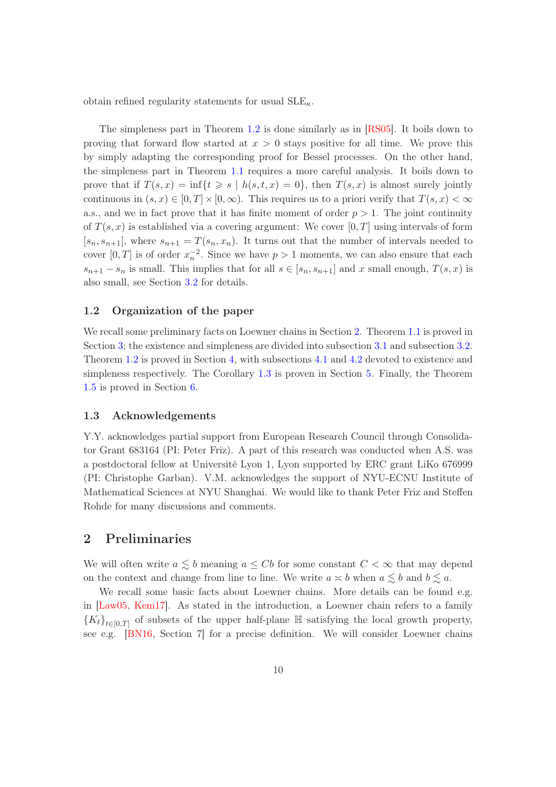obtain refined regularity statements for usual  $\text{SLE}_{\kappa}$ .

The simpleness part in Theorem [1.2](#page-2-2) is done similarly as in [\[RS05\]](#page-34-1). It boils down to proving that forward flow started at  $x > 0$  stays positive for all time. We prove this by simply adapting the corresponding proof for Bessel processes. On the other hand, the simpleness part in Theorem [1.1](#page-2-1) requires a more careful analysis. It boils down to prove that if  $T(s, x) = \inf\{t \geq s \mid h(s, t, x) = 0\}$ , then  $T(s, x)$  is almost surely jointly continuous in  $(s, x) \in [0, T] \times [0, \infty)$ . This requires us to a priori verify that  $T(s, x) < \infty$ a.s., and we in fact prove that it has finite moment of order  $p > 1$ . The joint continuity of  $T(s, x)$  is established via a covering argument: We cover [0, T] using intervals of form  $[s_n, s_{n+1}]$ , where  $s_{n+1} = T(s_n, x_n)$ . It turns out that the number of intervals needed to cover  $[0, T]$  is of order  $x_n^{-2}$ . Since we have  $p > 1$  moments, we can also ensure that each  $s_{n+1} - s_n$  is small. This implies that for all  $s \in [s_n, s_{n+1}]$  and x small enough,  $T(s, x)$  is also small, see Section [3.2](#page-16-0) for details.

#### 1.2 Organization of the paper

We recall some preliminary facts on Loewner chains in Section [2.](#page-9-0) Theorem [1.1](#page-2-1) is proved in Section [3;](#page-11-2) the existence and simpleness are divided into subsection [3.1](#page-11-1) and subsection [3.2.](#page-16-0) Theorem [1.2](#page-2-2) is proved in Section [4,](#page-23-1) with subsections [4.1](#page-23-0) and [4.2](#page-29-0) devoted to existence and simpleness respectively. The Corollary [1.3](#page-2-4) is proven in Section [5.](#page-30-0) Finally, the Theorem [1.5](#page-5-4) is proved in Section [6.](#page-31-0)

#### 1.3 Acknowledgements

Y.Y. acknowledges partial support from European Research Council through Consolidator Grant 683164 (PI: Peter Friz). A part of this research was conducted when A.S. was a postdoctoral fellow at Université Lyon 1, Lyon supported by ERC grant LiKo 676999 (PI: Christophe Garban). V.M. acknowledges the support of NYU-ECNU Institute of Mathematical Sciences at NYU Shanghai. We would like to thank Peter Friz and Steffen Rohde for many discussions and comments.

# <span id="page-9-0"></span>2 Preliminaries

We will often write  $a \lesssim b$  meaning  $a \leq Cb$  for some constant  $C < \infty$  that may depend on the context and change from line to line. We write  $a \leq b$  when  $a \leq b$  and  $b \leq a$ .

We recall some basic facts about Loewner chains. More details can be found e.g. in [\[Law05,](#page-34-0) [Kem17\]](#page-34-11). As stated in the introduction, a Loewner chain refers to a family  ${K_t}_{t\in[0,T]}$  of subsets of the upper half-plane  $\mathbb H$  satisfying the local growth property, see e.g. [\[BN16,](#page-33-0) Section 7] for a precise definition. We will consider Loewner chains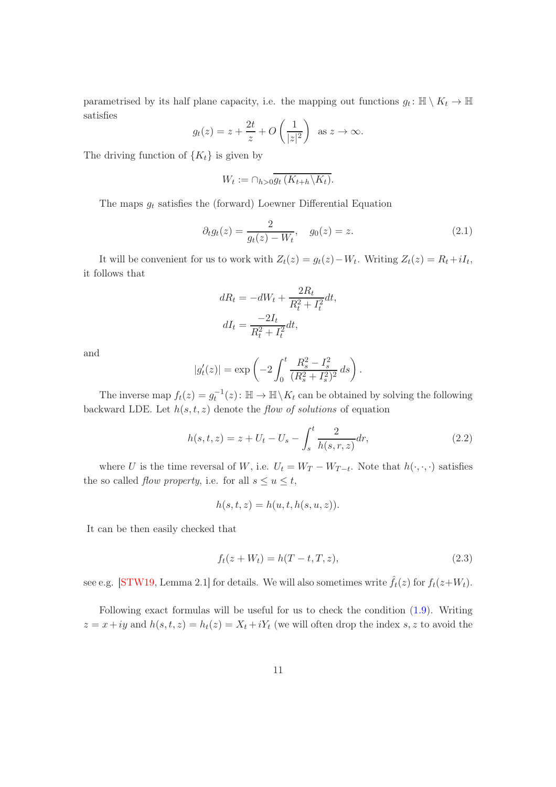parametrised by its half plane capacity, i.e. the mapping out functions  $g_t: \mathbb{H} \setminus K_t \to \mathbb{H}$ satisfies

$$
g_t(z) = z + \frac{2t}{z} + O\left(\frac{1}{|z|^2}\right)
$$
 as  $z \to \infty$ .

The driving function of  $\{K_t\}$  is given by

$$
W_t := \bigcap_{h>0} \overline{g_t(K_{t+h} \backslash K_t)}.
$$

The maps  $g_t$  satisfies the (forward) Loewner Differential Equation

$$
\partial_t g_t(z) = \frac{2}{g_t(z) - W_t}, \quad g_0(z) = z.
$$
\n(2.1)

It will be convenient for us to work with  $Z_t(z) = g_t(z) - W_t$ . Writing  $Z_t(z) = R_t + iI_t$ , it follows that

$$
dR_t = -dW_t + \frac{2R_t}{R_t^2 + I_t^2}dt,
$$
  

$$
dI_t = \frac{-2I_t}{R_t^2 + I_t^2}dt,
$$

and

$$
|g_t'(z)| = \exp\left(-2\int_0^t \frac{R_s^2 - I_s^2}{(R_s^2 + I_s^2)^2} ds\right).
$$

The inverse map  $f_t(z) = g_t^{-1}(z)$ :  $\mathbb{H} \to \mathbb{H} \setminus K_t$  can be obtained by solving the following backward LDE. Let  $h(s, t, z)$  denote the flow of solutions of equation

<span id="page-10-1"></span>
$$
h(s,t,z) = z + U_t - U_s - \int_s^t \frac{2}{h(s,r,z)} dr,\tag{2.2}
$$

where U is the time reversal of W, i.e.  $U_t = W_T - W_{T-t}$ . Note that  $h(\cdot, \cdot, \cdot)$  satisfies the so called *flow property*, i.e. for all  $s \le u \le t$ ,

$$
h(s,t,z) = h(u,t,h(s,u,z)).
$$

It can be then easily checked that

<span id="page-10-0"></span>
$$
f_t(z + W_t) = h(T - t, T, z),
$$
\n(2.3)

see e.g. [\[STW19,](#page-35-4) Lemma 2.1] for details. We will also sometimes write  $\hat{f}_t(z)$  for  $f_t(z+W_t)$ .

Following exact formulas will be useful for us to check the condition [\(1.9\)](#page-7-1). Writing  $z = x + iy$  and  $h(s, t, z) = h_t(z) = X_t + iY_t$  (we will often drop the index s, z to avoid the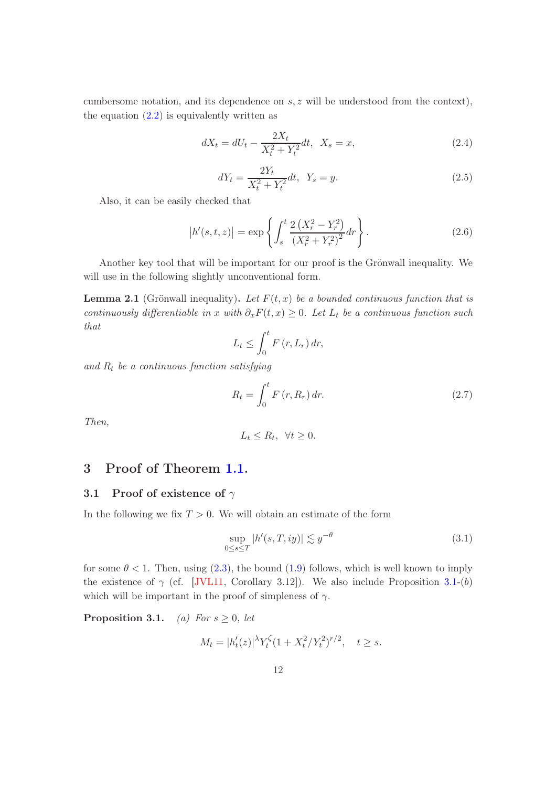cumbersome notation, and its dependence on  $s, z$  will be understood from the context), the equation  $(2.2)$  is equivalently written as

$$
dX_t = dU_t - \frac{2X_t}{X_t^2 + Y_t^2}dt, \ \ X_s = x,\tag{2.4}
$$

<span id="page-11-4"></span>
$$
dY_t = \frac{2Y_t}{X_t^2 + Y_t^2} dt, \ \ Y_s = y.
$$
\n(2.5)

Also, it can be easily checked that

<span id="page-11-0"></span>
$$
|h'(s,t,z)| = \exp\left\{ \int_s^t \frac{2\left(X_r^2 - Y_r^2\right)}{\left(X_r^2 + Y_r^2\right)^2} dr \right\}.
$$
 (2.6)

<span id="page-11-6"></span>Another key tool that will be important for our proof is the Grönwall inequality. We will use in the following slightly unconventional form.

**Lemma 2.1** (Grönwall inequality). Let  $F(t, x)$  be a bounded continuous function that is continuously differentiable in x with  $\partial_x F(t, x) \geq 0$ . Let  $L_t$  be a continuous function such that

$$
L_t \leq \int_0^t F(r, L_r) \, dr,
$$

and  $R_t$  be a continuous function satisfying

$$
R_t = \int_0^t F\left(r, R_r\right) dr. \tag{2.7}
$$

Then,

$$
L_t \le R_t, \ \forall t \ge 0.
$$

# <span id="page-11-2"></span><span id="page-11-1"></span>3 Proof of Theorem [1.1.](#page-2-1)

#### 3.1 Proof of existence of  $\gamma$

In the following we fix  $T > 0$ . We will obtain an estimate of the form

<span id="page-11-5"></span>
$$
\sup_{0 \le s \le T} |h'(s, T, iy)| \lesssim y^{-\theta}
$$
\n(3.1)

for some  $\theta$  < 1. Then, using [\(2.3\)](#page-10-0), the bound [\(1.9\)](#page-7-1) follows, which is well known to imply the existence of  $\gamma$  (cf. [\[JVL11,](#page-34-5) Corollary 3.12]). We also include Proposition [3.1-](#page-11-3)(b) which will be important in the proof of simpleness of  $\gamma$ .

<span id="page-11-3"></span>**Proposition 3.1.** (a) For  $s \geq 0$ , let

$$
M_t = |h'_t(z)|^{\lambda} Y_t^{\zeta} (1 + X_t^2 / Y_t^2)^{r/2}, \quad t \ge s.
$$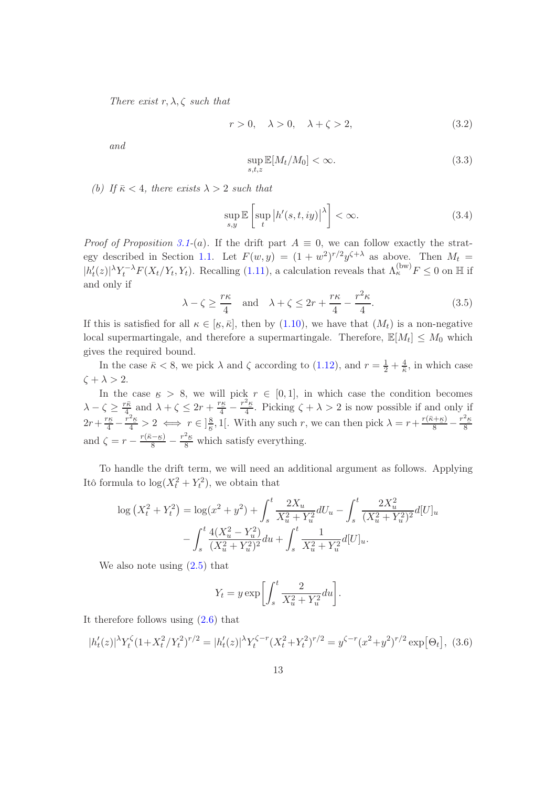There exist r,  $\lambda$ ,  $\zeta$  such that

$$
r > 0, \quad \lambda > 0, \quad \lambda + \zeta > 2,\tag{3.2}
$$

and

<span id="page-12-2"></span>
$$
\sup_{s,t,z} \mathbb{E}[M_t/M_0] < \infty. \tag{3.3}
$$

(b) If  $\bar{\kappa}$  < 4, there exists  $\lambda > 2$  such that

<span id="page-12-0"></span>
$$
\sup_{s,y} \mathbb{E}\left[\sup_{t} |h'(s,t,iy)|^{\lambda}\right] < \infty.
$$
\n(3.4)

*Proof of Proposition [3.1-](#page-11-3)(a).* If the drift part  $A \equiv 0$ , we can follow exactly the strat-egy described in Section [1.1.](#page-7-0) Let  $F(w, y) = (1 + w^2)^{r/2} y^{\zeta + \lambda}$  as above. Then  $M_t =$  $|h'_t(z)|^{\lambda} Y_t^{-\lambda} F(X_t/Y_t, Y_t)$ . Recalling [\(1.11\)](#page-8-0), a calculation reveals that  $\Lambda_{\kappa}^{(\text{bw)}} F \leq 0$  on  $\mathbb{H}$  if and only if

<span id="page-12-1"></span>
$$
\lambda - \zeta \ge \frac{r\kappa}{4} \quad \text{and} \quad \lambda + \zeta \le 2r + \frac{r\kappa}{4} - \frac{r^2\kappa}{4}.\tag{3.5}
$$

If this is satisfied for all  $\kappa \in [\underline{\kappa}, \overline{\kappa}]$ , then by [\(1.10\)](#page-7-2), we have that  $(M_t)$  is a non-negative local supermartingale, and therefore a supermartingale. Therefore,  $\mathbb{E}[M_t] \leq M_0$  which gives the required bound.

In the case  $\bar{\kappa} < 8$ , we pick  $\lambda$  and  $\zeta$  according to [\(1.12\)](#page-8-1), and  $r = \frac{1}{2} + \frac{4}{\bar{\kappa}}$  $\frac{4}{\overline{\kappa}}$ , in which case  $\zeta + \lambda > 2$ .

In the case  $\kappa > 8$ , we will pick  $r \in [0, 1]$ , in which case the condition becomes  $\lambda-\zeta\geq \frac{r\bar{\kappa}}{4}$  $\frac{r\bar{\kappa}}{4}$  and  $\lambda + \zeta \leq 2r + \frac{r\kappa}{4} - \frac{r^2\kappa}{4}$  $\frac{-\kappa}{4}$ . Picking  $\zeta + \lambda > 2$  is now possible if and only if  $2r + \frac{r_E}{4} - \frac{r^2 E}{4} > 2 \iff r \in ]\frac{8}{5}$ and  $\zeta = r - \frac{r(\bar{\kappa} - \underline{\kappa})}{8} - \frac{r^2 \underline{\kappa}}{8}$  which satisfy everything.  $\frac{8}{\kappa}$ , 1[. With any such r, we can then pick  $\lambda = r + \frac{r(\bar{\kappa} + \kappa)}{8} - \frac{r^2 \kappa}{8}$ 8

To handle the drift term, we will need an additional argument as follows. Applying Itô formula to  $\log(X_t^2 + Y_t^2)$ , we obtain that

$$
\log (X_t^2 + Y_t^2) = \log(x^2 + y^2) + \int_s^t \frac{2X_u}{X_u^2 + Y_u^2} dU_u - \int_s^t \frac{2X_u^2}{(X_u^2 + Y_u^2)^2} d[U]_u
$$

$$
- \int_s^t \frac{4(X_u^2 - Y_u^2)}{(X_u^2 + Y_u^2)^2} du + \int_s^t \frac{1}{X_u^2 + Y_u^2} d[U]_u.
$$

We also note using [\(2.5\)](#page-11-4) that

$$
Y_t = y \exp\left[\int_s^t \frac{2}{X_u^2 + Y_u^2} du\right].
$$

It therefore follows using  $(2.6)$  that

<span id="page-12-3"></span>
$$
|h'_t(z)|^{\lambda} Y_t^{\zeta} (1 + X_t^2 / Y_t^2)^{r/2} = |h'_t(z)|^{\lambda} Y_t^{\zeta - r} (X_t^2 + Y_t^2)^{r/2} = y^{\zeta - r} (x^2 + y^2)^{r/2} \exp[\Theta_t],
$$
 (3.6)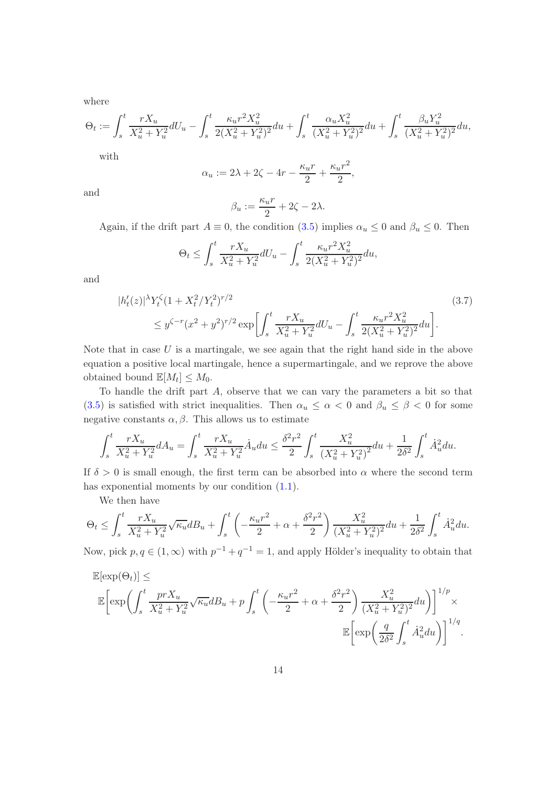where

$$
\Theta_t := \int_s^t \frac{rX_u}{X_u^2 + Y_u^2} dU_u - \int_s^t \frac{\kappa_u r^2 X_u^2}{2(X_u^2 + Y_u^2)^2} du + \int_s^t \frac{\alpha_u X_u^2}{(X_u^2 + Y_u^2)^2} du + \int_s^t \frac{\beta_u Y_u^2}{(X_u^2 + Y_u^2)^2} du,
$$

with

$$
\alpha_u := 2\lambda + 2\zeta - 4r - \frac{\kappa_u r}{2} + \frac{\kappa_u r^2}{2},
$$

and

<span id="page-13-0"></span>
$$
\beta_u := \frac{\kappa_u r}{2} + 2\zeta - 2\lambda.
$$

Again, if the drift part  $A \equiv 0$ , the condition [\(3.5\)](#page-12-1) implies  $\alpha_u \leq 0$  and  $\beta_u \leq 0$ . Then

$$
\Theta_t \le \int_s^t \frac{rX_u}{X_u^2 + Y_u^2} dU_u - \int_s^t \frac{\kappa_u r^2 X_u^2}{2(X_u^2 + Y_u^2)^2} du,
$$

and

$$
|h'_t(z)|^{\lambda} Y_t^{\zeta} (1 + X_t^2/Y_t^2)^{r/2}
$$
\n
$$
\leq y^{\zeta - r} (x^2 + y^2)^{r/2} \exp\left[\int_s^t \frac{rX_u}{X_u^2 + Y_u^2} dU_u - \int_s^t \frac{\kappa_u r^2 X_u^2}{2(X_u^2 + Y_u^2)^2} du\right].
$$
\n(3.7)

Note that in case  $U$  is a martingale, we see again that the right hand side in the above equation a positive local martingale, hence a supermartingale, and we reprove the above obtained bound  $\mathbb{E}[M_t] \leq M_0$ .

To handle the drift part  $A$ , observe that we can vary the parameters a bit so that [\(3.5\)](#page-12-1) is satisfied with strict inequalities. Then  $\alpha_u \leq \alpha < 0$  and  $\beta_u \leq \beta < 0$  for some negative constants  $\alpha, \beta$ . This allows us to estimate

$$
\int_{s}^{t} \frac{rX_{u}}{X_{u}^{2} + Y_{u}^{2}} dA_{u} = \int_{s}^{t} \frac{rX_{u}}{X_{u}^{2} + Y_{u}^{2}} \dot{A}_{u} du \leq \frac{\delta^{2}r^{2}}{2} \int_{s}^{t} \frac{X_{u}^{2}}{(X_{u}^{2} + Y_{u}^{2})^{2}} du + \frac{1}{2\delta^{2}} \int_{s}^{t} \dot{A}_{u}^{2} du.
$$

If  $\delta > 0$  is small enough, the first term can be absorbed into  $\alpha$  where the second term has exponential moments by our condition [\(1.1\)](#page-2-5).

We then have

$$
\Theta_t \le \int_s^t \frac{rX_u}{X_u^2 + Y_u^2} \sqrt{\kappa_u} dB_u + \int_s^t \left( -\frac{\kappa_u r^2}{2} + \alpha + \frac{\delta^2 r^2}{2} \right) \frac{X_u^2}{(X_u^2 + Y_u^2)^2} du + \frac{1}{2\delta^2} \int_s^t \dot{A}_u^2 du.
$$

Now, pick  $p, q \in (1, \infty)$  with  $p^{-1} + q^{-1} = 1$ , and apply Hölder's inequality to obtain that

$$
\mathbb{E}[\exp(\Theta_t)] \le \mathbb{E}[\exp\left(\int_s^t \frac{prX_u}{X_u^2 + Y_u^2} \sqrt{\kappa_u} dB_u + p \int_s^t \left(-\frac{\kappa_u r^2}{2} + \alpha + \frac{\delta^2 r^2}{2}\right) \frac{X_u^2}{(X_u^2 + Y_u^2)^2} du\right)]^{1/p} \times \mathbb{E}\left[\exp\left(\frac{q}{2\delta^2} \int_s^t \dot{A}_u^2 du\right)\right]^{1/q}.
$$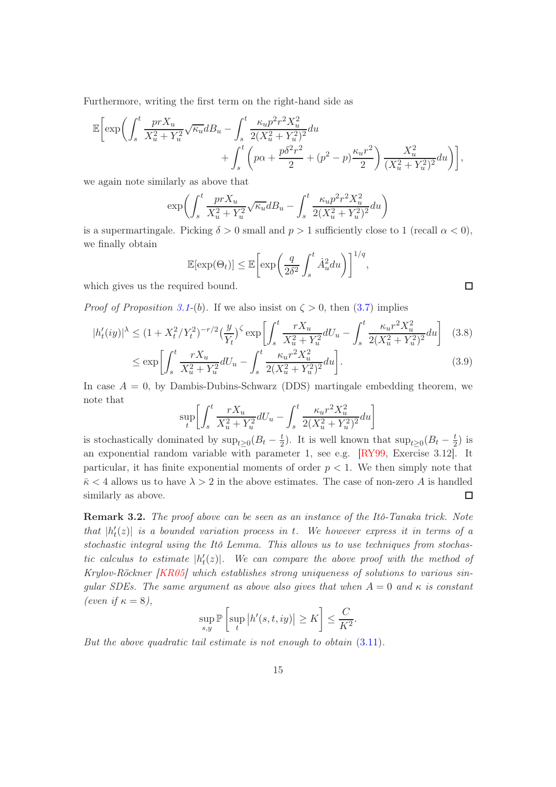Furthermore, writing the first term on the right-hand side as

$$
\mathbb{E}\bigg[\exp\bigg(\int_{s}^{t} \frac{prX_{u}}{X_{u}^{2} + Y_{u}^{2}} \sqrt{\kappa_{u}} dB_{u} - \int_{s}^{t} \frac{\kappa_{u} p^{2} r^{2} X_{u}^{2}}{2(X_{u}^{2} + Y_{u}^{2})^{2}} du + \int_{s}^{t} \left(p\alpha + \frac{p\delta^{2} r^{2}}{2} + (p^{2} - p)\frac{\kappa_{u} r^{2}}{2}\right) \frac{X_{u}^{2}}{(X_{u}^{2} + Y_{u}^{2})^{2}} du\bigg)\bigg],
$$

we again note similarly as above that

$$
\exp\biggl(\int_{s}^{t} \frac{prX_{u}}{X_{u}^{2} + Y_{u}^{2}} \sqrt{\kappa_{u}} dB_{u} - \int_{s}^{t} \frac{\kappa_{u} p^{2} r^{2} X_{u}^{2}}{2(X_{u}^{2} + Y_{u}^{2})^{2}} du\biggr)
$$

is a supermartingale. Picking  $\delta > 0$  small and  $p > 1$  sufficiently close to 1 (recall  $\alpha < 0$ ), we finally obtain

$$
\mathbb{E}[\exp(\Theta_t)] \le \mathbb{E}\left[\exp\left(\frac{q}{2\delta^2} \int_s^t \dot{A}_u^2 du\right)\right]^{1/q}
$$

which gives us the required bound.

*Proof of Proposition [3.1-](#page-11-3)(b)*. If we also insist on  $\zeta > 0$ , then [\(3.7\)](#page-13-0) implies

$$
|h'_t(iy)|^{\lambda} \le (1 + X_t^2/Y_t^2)^{-r/2} \left(\frac{y}{Y_t}\right)^{\zeta} \exp\left[\int_s^t \frac{rX_u}{X_u^2 + Y_u^2} dU_u - \int_s^t \frac{\kappa_u r^2 X_u^2}{2(X_u^2 + Y_u^2)^2} du\right] \tag{3.8}
$$

$$
\leq \exp\left[\int_{s}^{t} \frac{rX_u}{X_u^2 + Y_u^2} dU_u - \int_{s}^{t} \frac{\kappa_u r^2 X_u^2}{2(X_u^2 + Y_u^2)^2} du\right].
$$
\n(3.9)

,

In case  $A = 0$ , by Dambis-Dubins-Schwarz (DDS) martingale embedding theorem, we note that

$$
\sup_{t} \left[ \int_{s}^{t} \frac{rX_{u}}{X_{u}^{2} + Y_{u}^{2}} dU_{u} - \int_{s}^{t} \frac{\kappa_{u} r^{2} X_{u}^{2}}{2(X_{u}^{2} + Y_{u}^{2})^{2}} du \right]
$$

is stochastically dominated by  $\sup_{t\geq 0} (B_t - \frac{t}{2})$  $\frac{t}{2}$ ). It is well known that  $\sup_{t\geq 0} (B_t - \frac{t}{2})$  $(\frac{t}{2})$  is an exponential random variable with parameter 1, see e.g. [\[RY99,](#page-34-9) Exercise 3.12]. It particular, it has finite exponential moments of order  $p < 1$ . We then simply note that  $\bar{\kappa}$  < 4 allows us to have  $\lambda > 2$  in the above estimates. The case of non-zero A is handled similarly as above.  $\Box$ 

Remark 3.2. The proof above can be seen as an instance of the Itô-Tanaka trick. Note that  $|h'_t(z)|$  is a bounded variation process in t. We however express it in terms of a stochastic integral using the Itô Lemma. This allows us to use techniques from stochastic calculus to estimate  $|h'_t(z)|$ . We can compare the above proof with the method of Krylov-Röckner [\[KR05\]](#page-34-10) which establishes strong uniqueness of solutions to various singular SDEs. The same argument as above also gives that when  $A = 0$  and  $\kappa$  is constant (even if  $\kappa = 8$ ),

$$
\sup_{s,y} \mathbb{P}\left[\sup_t |h'(s,t,iy)| \ge K\right] \le \frac{C}{K^2}.
$$

But the above quadratic tail estimate is not enough to obtain [\(3.11\)](#page-15-0).

 $\Box$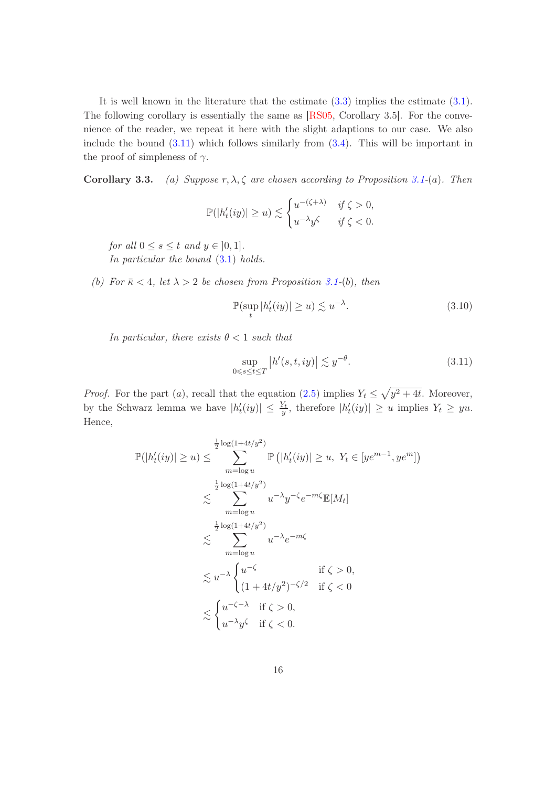It is well known in the literature that the estimate [\(3.3\)](#page-12-2) implies the estimate [\(3.1\)](#page-11-5). The following corollary is essentially the same as [\[RS05,](#page-34-1) Corollary 3.5]. For the convenience of the reader, we repeat it here with the slight adaptions to our case. We also include the bound  $(3.11)$  which follows similarly from  $(3.4)$ . This will be important in the proof of simpleness of  $\gamma$ .

Corollary 3.3. (a) Suppose  $r, \lambda, \zeta$  are chosen according to Proposition [3.1-](#page-11-3)(a). Then

$$
\mathbb{P}(|h'_t(iy)| \ge u) \lesssim \begin{cases} u^{-(\zeta + \lambda)} & \text{if } \zeta > 0, \\ u^{-\lambda} y^{\zeta} & \text{if } \zeta < 0. \end{cases}
$$

for all  $0 \leq s \leq t$  and  $y \in [0, 1]$ . In particular the bound  $(3.1)$  holds.

(b) For  $\bar{\kappa}$  < 4, let  $\lambda > 2$  be chosen from Proposition [3.1-](#page-11-3)(b), then

<span id="page-15-1"></span>
$$
\mathbb{P}(\sup_{t} |h_t'(iy)| \ge u) \lesssim u^{-\lambda}.\tag{3.10}
$$

In particular, there exists  $\theta < 1$  such that

<span id="page-15-0"></span>
$$
\sup_{0 \le s \le t \le T} |h'(s, t, iy)| \lesssim y^{-\theta}.\tag{3.11}
$$

*Proof.* For the part (*a*), recall that the equation [\(2.5\)](#page-11-4) implies  $Y_t \leq \sqrt{y^2 + 4t}$ . Moreover, by the Schwarz lemma we have  $|h'_t(iy)| \leq \frac{Y_t}{y}$ , therefore  $|h'_t(iy)| \geq u$  implies  $Y_t \geq yu$ . Hence,

$$
\mathbb{P}(|h'_t(iy)| \ge u) \le \sum_{m=\log u}^{\frac{1}{2}\log(1+4t/y^2)} \mathbb{P}(|h'_t(iy)| \ge u, Y_t \in [ye^{m-1}, ye^m])
$$
  

$$
\lesssim \sum_{m=\log u}^{\frac{1}{2}\log(1+4t/y^2)} u^{-\lambda}y^{-\zeta}e^{-m\zeta}\mathbb{E}[M_t]
$$
  

$$
\lesssim \sum_{m=\log u}^{\frac{1}{2}\log(1+4t/y^2)} u^{-\lambda}e^{-m\zeta}
$$
  

$$
\lesssim u^{-\lambda} \begin{cases} u^{-\zeta} & \text{if } \zeta > 0, \\ (1+4t/y^2)^{-\zeta/2} & \text{if } \zeta < 0 \end{cases}
$$
  

$$
\lesssim \begin{cases} u^{-\zeta-\lambda} & \text{if } \zeta > 0, \\ u^{-\lambda}y^{\zeta} & \text{if } \zeta < 0. \end{cases}
$$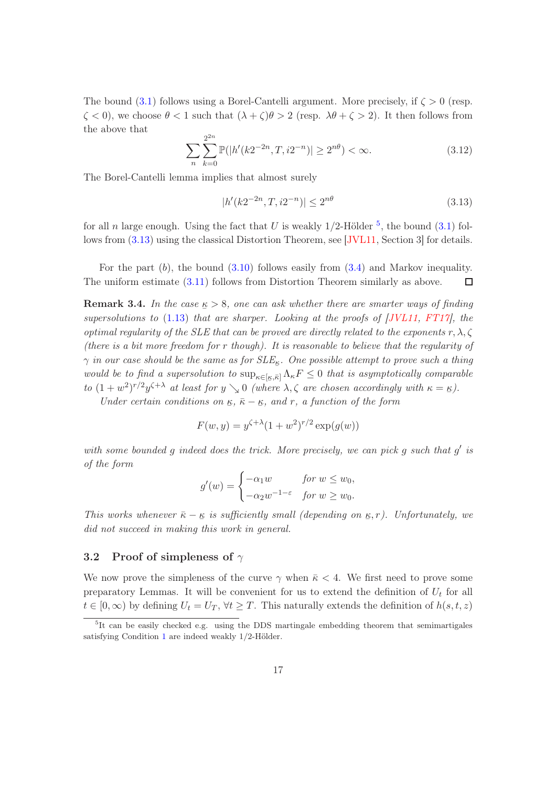The bound [\(3.1\)](#page-11-5) follows using a Borel-Cantelli argument. More precisely, if  $\zeta > 0$  (resp.  $\zeta$  < 0), we choose  $\theta$  < 1 such that  $(\lambda + \zeta)\theta > 2$  (resp.  $\lambda\theta + \zeta > 2$ ). It then follows from the above that

$$
\sum_{n} \sum_{k=0}^{2^{2n}} \mathbb{P}(|h'(k2^{-2n}, T, i2^{-n})| \ge 2^{n\theta}) < \infty.
$$
 (3.12)

The Borel-Cantelli lemma implies that almost surely

<span id="page-16-2"></span>
$$
|h'(k2^{-2n}, T, i2^{-n})| \le 2^{n\theta} \tag{3.13}
$$

for all n large enough. Using the fact that U is weakly  $1/2$ -Hölder  $^5$  $^5$ , the bound  $(3.1)$  follows from [\(3.13\)](#page-16-2) using the classical Distortion Theorem, see [\[JVL11,](#page-34-5) Section 3] for details.

For the part  $(b)$ , the bound  $(3.10)$  follows easily from  $(3.4)$  and Markov inequality. The uniform estimate [\(3.11\)](#page-15-0) follows from Distortion Theorem similarly as above.  $\Box$ 

**Remark 3.4.** In the case  $\underline{\kappa} > 8$ , one can ask whether there are smarter ways of finding  $\frac{1}{2}$  supersolutions to [\(1.13\)](#page-8-2) that are sharper. Looking at the proofs of [\[JVL11,](#page-34-5) [FT17\]](#page-33-2), the optimal regularity of the SLE that can be proved are directly related to the exponents  $r, \lambda, \zeta$ (there is a bit more freedom for r though). It is reasonable to believe that the regularity of  $\gamma$  in our case should be the same as for  $SLE_{\kappa}$ . One possible attempt to prove such a thing would be to find a supersolution to  $\sup_{\kappa \in [\kappa,\bar{\kappa}]} \Lambda_{\kappa} F \leq 0$  that is asymptotically comparable to  $(1+w^2)^{r/2}y^{\zeta+\lambda}$  at least for  $y \searrow 0$  (where  $\lambda, \zeta$  are chosen accordingly with  $\kappa = \kappa$ ).

Under certain conditions on  $\mathbf{g}, \overline{\mathbf{g}} - \mathbf{g}$ , and r, a function of the form

$$
F(w, y) = y^{\zeta + \lambda} (1 + w^2)^{r/2} \exp(g(w))
$$

with some bounded  $g$  indeed does the trick. More precisely, we can pick  $g$  such that  $g'$  is of the form

$$
g'(w) = \begin{cases} -\alpha_1 w & \text{for } w \leq w_0, \\ -\alpha_2 w^{-1-\varepsilon} & \text{for } w \geq w_0. \end{cases}
$$

This works whenever  $\bar{\kappa} - \kappa$  is sufficiently small (depending on  $\kappa, r$ ). Unfortunately, we  $\frac{d}{d}$  and  $\frac{d}{d}$  is denoted in making this work in general.

#### <span id="page-16-0"></span>3.2 Proof of simpleness of  $\gamma$

We now prove the simpleness of the curve  $\gamma$  when  $\bar{\kappa}$  < 4. We first need to prove some preparatory Lemmas. It will be convenient for us to extend the definition of  $U_t$  for all  $t \in [0,\infty)$  by defining  $U_t = U_T$ ,  $\forall t \geq T$ . This naturally extends the definition of  $h(s,t,z)$ 

<span id="page-16-1"></span><sup>&</sup>lt;sup>5</sup>It can be easily checked e.g. using the DDS martingale embedding theorem that semimartigales satisfying Condition [1](#page-1-0) are indeed weakly 1/2-Hölder.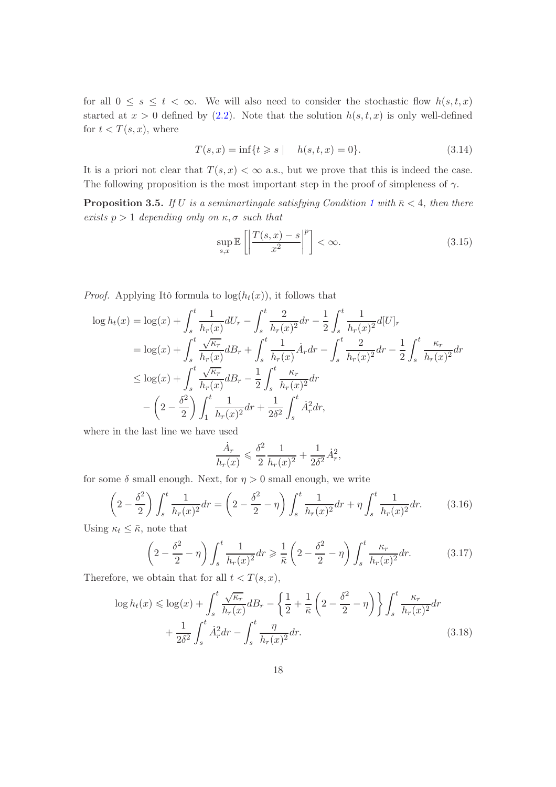for all  $0 \leq s \leq t < \infty$ . We will also need to consider the stochastic flow  $h(s,t,x)$ started at  $x > 0$  defined by [\(2.2\)](#page-10-1). Note that the solution  $h(s, t, x)$  is only well-defined for  $t < T(s, x)$ , where

$$
T(s,x) = \inf\{t \ge s \mid h(s,t,x) = 0\}.
$$
 (3.14)

<span id="page-17-1"></span>It is a priori not clear that  $T(s, x) < \infty$  a.s., but we prove that this is indeed the case. The following proposition is the most important step in the proof of simpleness of  $\gamma$ .

**Proposition 3.5.** If U is a semimartingale satisfying Condition [1](#page-1-0) with  $\bar{\kappa}$  < 4, then there exists  $p > 1$  depending only on  $\kappa, \sigma$  such that

$$
\sup_{s,x} \mathbb{E}\left[\left|\frac{T(s,x) - s}{x^2}\right|^p\right] < \infty. \tag{3.15}
$$

*Proof.* Applying Itô formula to  $log(h_t(x))$ , it follows that

$$
\log h_t(x) = \log(x) + \int_s^t \frac{1}{h_r(x)} dU_r - \int_s^t \frac{2}{h_r(x)^2} dr - \frac{1}{2} \int_s^t \frac{1}{h_r(x)^2} d[U]_r
$$
  
\n
$$
= \log(x) + \int_s^t \frac{\sqrt{\kappa_r}}{h_r(x)} dB_r + \int_s^t \frac{1}{h_r(x)} \dot{A}_r dr - \int_s^t \frac{2}{h_r(x)^2} dr - \frac{1}{2} \int_s^t \frac{\kappa_r}{h_r(x)^2} dr
$$
  
\n
$$
\leq \log(x) + \int_s^t \frac{\sqrt{\kappa_r}}{h_r(x)} dB_r - \frac{1}{2} \int_s^t \frac{\kappa_r}{h_r(x)^2} dr
$$
  
\n
$$
- \left(2 - \frac{\delta^2}{2}\right) \int_1^t \frac{1}{h_r(x)^2} dr + \frac{1}{2\delta^2} \int_s^t \dot{A}_r^2 dr,
$$

where in the last line we have used

<span id="page-17-0"></span>
$$
\frac{\dot{A}_r}{h_r(x)} \leqslant \frac{\delta^2}{2} \frac{1}{h_r(x)^2} + \frac{1}{2\delta^2} \dot{A}_r^2,
$$

for some  $\delta$  small enough. Next, for  $\eta > 0$  small enough, we write

$$
\left(2 - \frac{\delta^2}{2}\right) \int_s^t \frac{1}{h_r(x)^2} dr = \left(2 - \frac{\delta^2}{2} - \eta\right) \int_s^t \frac{1}{h_r(x)^2} dr + \eta \int_s^t \frac{1}{h_r(x)^2} dr. \tag{3.16}
$$

Using  $\kappa_t \leq \bar{\kappa}$ , note that

$$
\left(2 - \frac{\delta^2}{2} - \eta\right) \int_s^t \frac{1}{h_r(x)^2} dr \ge \frac{1}{\bar{\kappa}} \left(2 - \frac{\delta^2}{2} - \eta\right) \int_s^t \frac{\kappa_r}{h_r(x)^2} dr.
$$
 (3.17)

Therefore, we obtain that for all  $t < T(s, x)$ ,

$$
\log h_t(x) \leqslant \log(x) + \int_s^t \frac{\sqrt{\kappa_r}}{h_r(x)} d\mathcal{B}_r - \left\{ \frac{1}{2} + \frac{1}{\bar{\kappa}} \left( 2 - \frac{\delta^2}{2} - \eta \right) \right\} \int_s^t \frac{\kappa_r}{h_r(x)^2} dr
$$

$$
+ \frac{1}{2\delta^2} \int_s^t \dot{A}_r^2 dr - \int_s^t \frac{\eta}{h_r(x)^2} dr. \tag{3.18}
$$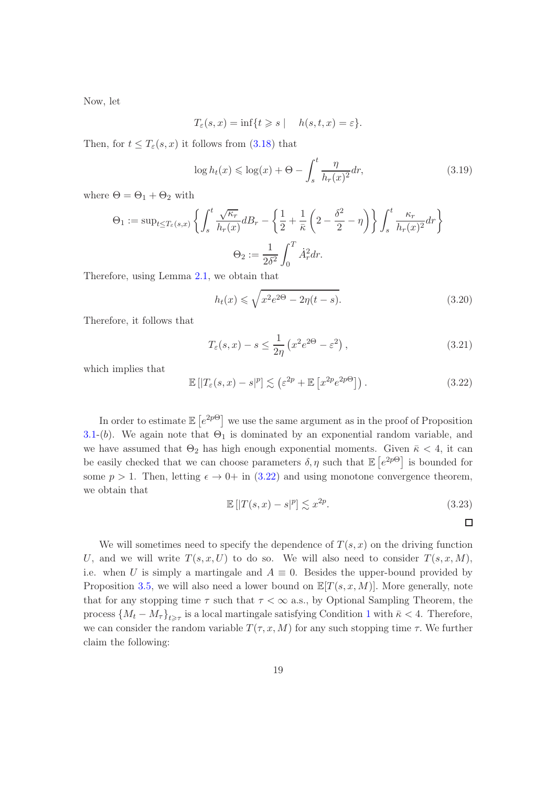Now, let

$$
T_{\varepsilon}(s,x)=\inf\{t\geqslant s\mid \quad h(s,t,x)=\varepsilon\}.
$$

Then, for  $t \leq T_{\varepsilon}(s,x)$  it follows from  $(3.18)$  that

$$
\log h_t(x) \leq \log(x) + \Theta - \int_s^t \frac{\eta}{h_r(x)^2} dr,\tag{3.19}
$$

where  $\Theta = \Theta_1 + \Theta_2$  with

$$
\Theta_1 := \sup_{t \le T_{\varepsilon}(s,x)} \left\{ \int_s^t \frac{\sqrt{\kappa_r}}{h_r(x)} dB_r - \left\{ \frac{1}{2} + \frac{1}{\bar{\kappa}} \left( 2 - \frac{\delta^2}{2} - \eta \right) \right\} \int_s^t \frac{\kappa_r}{h_r(x)^2} dr \right\}
$$

$$
\Theta_2 := \frac{1}{2\delta^2} \int_0^T \dot{A}_r^2 dr.
$$

Therefore, using Lemma [2.1,](#page-11-6) we obtain that

$$
h_t(x) \leqslant \sqrt{x^2 e^{2\Theta} - 2\eta(t - s)}.
$$
\n
$$
(3.20)
$$

Therefore, it follows that

$$
T_{\varepsilon}(s,x) - s \le \frac{1}{2\eta} \left( x^2 e^{2\Theta} - \varepsilon^2 \right),\tag{3.21}
$$

which implies that

<span id="page-18-0"></span>
$$
\mathbb{E}\left[|T_{\varepsilon}(s,x)-s|^p\right] \lesssim \left(\varepsilon^{2p} + \mathbb{E}\left[x^{2p}e^{2p\Theta}\right]\right). \tag{3.22}
$$

In order to estimate  $\mathbb{E}\left[e^{2p\Theta}\right]$  we use the same argument as in the proof of Proposition [3.1-](#page-11-3)(b). We again note that  $\Theta_1$  is dominated by an exponential random variable, and we have assumed that  $\Theta_2$  has high enough exponential moments. Given  $\bar{\kappa} < 4$ , it can be easily checked that we can choose parameters  $\delta, \eta$  such that  $\mathbb{E}\left[e^{2p\Theta}\right]$  is bounded for some  $p > 1$ . Then, letting  $\epsilon \to 0^+$  in [\(3.22\)](#page-18-0) and using monotone convergence theorem, we obtain that

$$
\mathbb{E}\left[|T(s,x)-s|^p\right] \lesssim x^{2p}.\tag{3.23}
$$

 $\Box$ 

<span id="page-18-1"></span>We will sometimes need to specify the dependence of  $T(s, x)$  on the driving function U, and we will write  $T(s, x, U)$  to do so. We will also need to consider  $T(s, x, M)$ , i.e. when U is simply a martingale and  $A \equiv 0$ . Besides the upper-bound provided by Proposition [3.5,](#page-17-1) we will also need a lower bound on  $\mathbb{E}[T(s, x, M)]$ . More generally, note that for any stopping time  $\tau$  such that  $\tau < \infty$  a.s., by Optional Sampling Theorem, the process  $\{M_t - M_\tau\}_{t \geq \tau}$  is a local martingale satisfying Condition [1](#page-1-0) with  $\bar{\kappa} < 4$ . Therefore, we can consider the random variable  $T(\tau, x, M)$  for any such stopping time  $\tau$ . We further claim the following: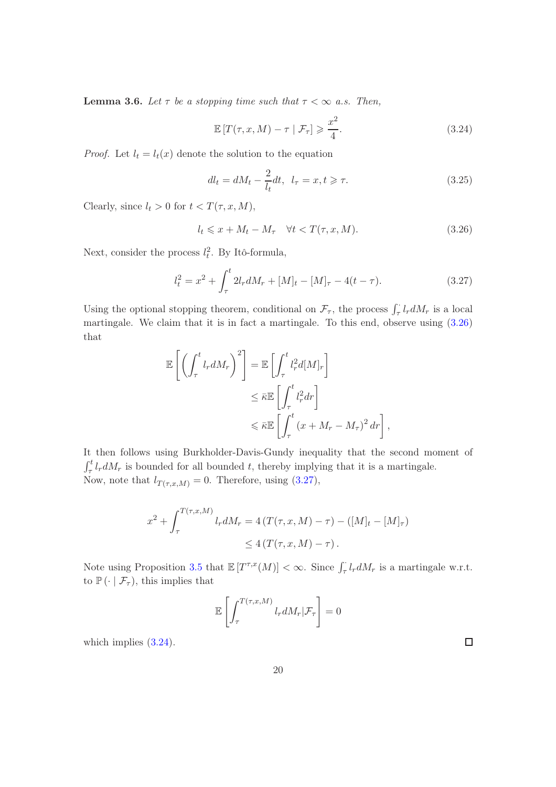**Lemma 3.6.** Let  $\tau$  be a stopping time such that  $\tau < \infty$  a.s. Then,

<span id="page-19-2"></span>
$$
\mathbb{E}\left[T(\tau, x, M) - \tau \mid \mathcal{F}_\tau\right] \geqslant \frac{x^2}{4}.\tag{3.24}
$$

*Proof.* Let  $l_t = l_t(x)$  denote the solution to the equation

$$
dl_t = dM_t - \frac{2}{l_t}dt, \ \ l_\tau = x, t \geqslant \tau. \tag{3.25}
$$

Clearly, since  $l_t > 0$  for  $t < T(\tau, x, M)$ ,

<span id="page-19-0"></span>
$$
l_t \leqslant x + M_t - M_\tau \quad \forall t < T(\tau, x, M). \tag{3.26}
$$

Next, consider the process  $l_t^2$ . By Itô-formula,

<span id="page-19-1"></span>
$$
l_t^2 = x^2 + \int_{\tau}^t 2l_r dM_r + [M]_t - [M]_{\tau} - 4(t - \tau).
$$
 (3.27)

Using the optional stopping theorem, conditional on  $\mathcal{F}_{\tau}$ , the process  $\int_{\tau}^{1} l_r dM_r$  is a local martingale. We claim that it is in fact a martingale. To this end, observe using [\(3.26\)](#page-19-0) that

$$
\mathbb{E}\left[\left(\int_{\tau}^{t} l_{r} dM_{r}\right)^{2}\right] = \mathbb{E}\left[\int_{\tau}^{t} l_{r}^{2} d[M]_{r}\right]
$$

$$
\leq \bar{\kappa} \mathbb{E}\left[\int_{\tau}^{t} l_{r}^{2} dr\right]
$$

$$
\leq \bar{\kappa} \mathbb{E}\left[\int_{\tau}^{t} (x + M_{r} - M_{\tau})^{2} dr\right],
$$

It then follows using Burkholder-Davis-Gundy inequality that the second moment of  $\int_{\tau}^{t} l_{r} dM_{r}$  is bounded for all bounded t, thereby implying that it is a martingale. Now, note that  $l_{T(\tau,x,M)} = 0$ . Therefore, using [\(3.27\)](#page-19-1),

$$
x^{2} + \int_{\tau}^{T(\tau,x,M)} l_{r} dM_{r} = 4 (T(\tau,x,M) - \tau) - ([M]_{t} - [M]_{\tau})
$$
  
\$\leq 4 (T(\tau,x,M) - \tau)\$.

Note using Proposition [3.5](#page-17-1) that  $\mathbb{E}[T^{\tau,x}(M)] < \infty$ . Since  $\int_{\tau}^{\cdot} l_r dM_r$  is a martingale w.r.t. to  $\mathbb{P}(\cdot | \mathcal{F}_{\tau})$ , this implies that

$$
\mathbb{E}\left[\int_{\tau}^{T(\tau,x,M)}l_{r}dM_{r}|\mathcal{F}_{\tau}\right]=0
$$

which implies  $(3.24)$ .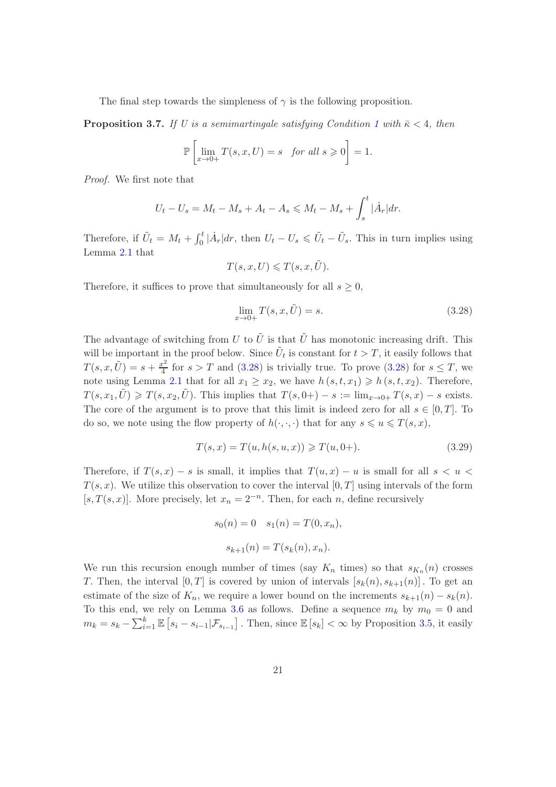<span id="page-20-2"></span>The final step towards the simpleness of  $\gamma$  is the following proposition.

**Proposition 3.7.** If U is a semimartingale satisfying Condition [1](#page-1-0) with  $\bar{\kappa} < 4$ , then

$$
\mathbb{P}\left[\lim_{x\to 0+}T(s,x,U)=s\quad\text{for all }s\geqslant 0\right]=1.
$$

Proof. We first note that

$$
U_t - U_s = M_t - M_s + A_t - A_s \le M_t - M_s + \int_s^t |\dot{A}_r| dr.
$$

Therefore, if  $\tilde{U}_t = M_t + \int_0^t |\dot{A}_r| dr$ , then  $U_t - U_s \le \tilde{U}_t - \tilde{U}_s$ . This in turn implies using Lemma [2.1](#page-11-6) that

$$
T(s, x, U) \leq T(s, x, \tilde{U}).
$$

Therefore, it suffices to prove that simultaneously for all  $s \geq 0$ ,

<span id="page-20-0"></span>
$$
\lim_{x \to 0+} T(s, x, \tilde{U}) = s.
$$
\n(3.28)

The advantage of switching from U to  $\tilde{U}$  is that  $\tilde{U}$  has monotonic increasing drift. This will be important in the proof below. Since  $\tilde{U}_t$  is constant for  $t > T$ , it easily follows that  $T(s, x, \tilde{U}) = s + \frac{x^2}{4}$  $\frac{e^2}{4}$  for  $s > T$  and  $(3.28)$  is trivially true. To prove  $(3.28)$  for  $s \leq T$ , we note using Lemma [2.1](#page-11-6) that for all  $x_1 \ge x_2$ , we have  $h(s, t, x_1) \ge h(s, t, x_2)$ . Therefore,  $T(s, x_1, \tilde{U}) \geq T(s, x_2, \tilde{U})$ . This implies that  $T(s, 0+) - s := \lim_{x\to 0+} T(s, x) - s$  exists. The core of the argument is to prove that this limit is indeed zero for all  $s \in [0, T]$ . To do so, we note using the flow property of  $h(\cdot, \cdot, \cdot)$  that for any  $s \leq u \leq T(s, x)$ ,

<span id="page-20-1"></span>
$$
T(s,x) = T(u, h(s, u, x)) \geqslant T(u, 0+).
$$
\n(3.29)

Therefore, if  $T(s, x) - s$  is small, it implies that  $T(u, x) - u$  is small for all  $s < u <$  $T(s, x)$ . We utilize this observation to cover the interval  $[0, T]$  using intervals of the form [s,  $T(s, x)$ ]. More precisely, let  $x_n = 2^{-n}$ . Then, for each n, define recursively

$$
s_0(n) = 0
$$
  $s_1(n) = T(0, x_n),$   
 $s_{k+1}(n) = T(s_k(n), x_n).$ 

We run this recursion enough number of times (say  $K_n$  times) so that  $s_{K_n}(n)$  crosses T. Then, the interval  $[0, T]$  is covered by union of intervals  $[s_k(n), s_{k+1}(n)]$ . To get an estimate of the size of  $K_n$ , we require a lower bound on the increments  $s_{k+1}(n) - s_k(n)$ . To this end, we rely on Lemma [3.6](#page-18-1) as follows. Define a sequence  $m_k$  by  $m_0 = 0$  and  $m_k = s_k - \sum_{i=1}^k \mathbb{E}\left[s_i - s_{i-1} | \mathcal{F}_{s_{i-1}}\right]$ . Then, since  $\mathbb{E}\left[s_k\right] < \infty$  by Proposition [3.5,](#page-17-1) it easily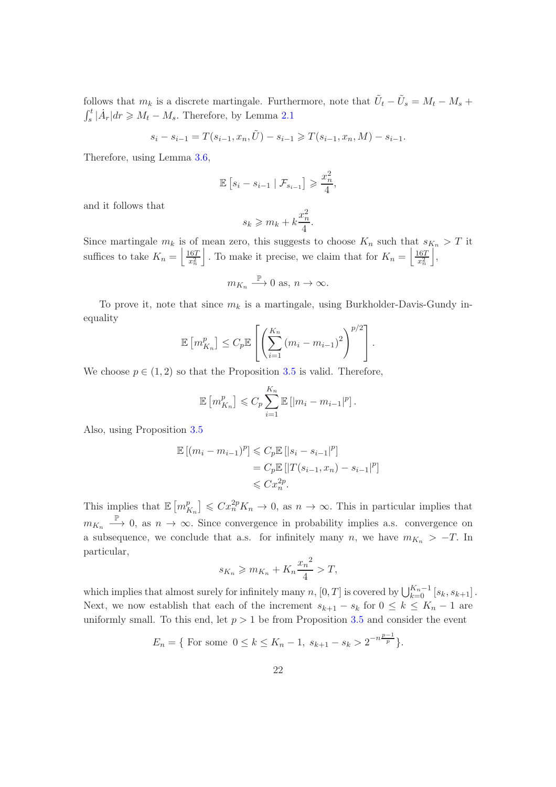follows that  $m_k$  is a discrete martingale. Furthermore, note that  $\tilde{U}_t - \tilde{U}_s = M_t - M_s +$  $\int_s^t |\dot{A}_r| dr \geq M_t - M_s$ . Therefore, by Lemma [2.1](#page-11-6)

$$
s_i - s_{i-1} = T(s_{i-1}, x_n, \tilde{U}) - s_{i-1} \ge T(s_{i-1}, x_n, M) - s_{i-1}.
$$

Therefore, using Lemma [3.6,](#page-18-1)

$$
\mathbb{E}\left[s_i - s_{i-1} \mid \mathcal{F}_{s_{i-1}}\right] \geqslant \frac{x_n^2}{4},
$$

and it follows that

$$
s_k \geqslant m_k + k\frac{x_n^2}{4}.
$$

Since martingale  $m_k$  is of mean zero, this suggests to choose  $K_n$  such that  $s_{K_n} > T$  it suffices to take  $K_n = \left\lfloor \frac{167}{x_n^2} \right\rfloor$ . To make it precise, we claim that for  $K_n = \left\lfloor \frac{167}{x_n^2} \right\rfloor$  $\vert$ ,

$$
m_{K_n} \stackrel{\mathbb{P}}{\longrightarrow} 0
$$
 as,  $n \to \infty$ .

To prove it, note that since  $m_k$  is a martingale, using Burkholder-Davis-Gundy inequality

$$
\mathbb{E}\left[m_{K_n}^p\right] \leq C_p \mathbb{E}\left[\left(\sum_{i=1}^{K_n} \left(m_i - m_{i-1}\right)^2\right)^{p/2}\right].
$$

We choose  $p \in (1,2)$  so that the Proposition [3.5](#page-17-1) is valid. Therefore,

$$
\mathbb{E}\left[m_{K_n}^p\right] \leqslant C_p \sum_{i=1}^{K_n} \mathbb{E}\left[|m_i - m_{i-1}|^p\right].
$$

Also, using Proposition [3.5](#page-17-1)

$$
\mathbb{E}[(m_i - m_{i-1})^p] \leq C_p \mathbb{E} [|s_i - s_{i-1}|^p]
$$
  
=  $C_p \mathbb{E} [|T(s_{i-1}, x_n) - s_{i-1}|^p]$   
 $\leq C x_n^{2p}.$ 

This implies that  $\mathbb{E}\left[m_{k}^{p}\right]$  $\left[ \sum_{K_n}^p \right] \leqslant C x_n^{2p} K_n \to 0$ , as  $n \to \infty$ . This in particular implies that  $m_{K_n} \stackrel{\mathbb{P}}{\longrightarrow} 0$ , as  $n \to \infty$ . Since convergence in probability implies a.s. convergence on a subsequence, we conclude that a.s. for infinitely many n, we have  $m_{K_n} > -T$ . In particular,

$$
s_{K_n} \geqslant m_{K_n} + K_n \frac{x_n^2}{4} > T,
$$

which implies that almost surely for infinitely many  $n$ ,  $[0, T]$  is covered by  $\bigcup_{k=0}^{K_n-1} [s_k, s_{k+1}]$ . Next, we now establish that each of the increment  $s_{k+1} - s_k$  for  $0 \leq k \leq K_n - 1$  are uniformly small. To this end, let  $p > 1$  be from Proposition [3.5](#page-17-1) and consider the event

$$
E_n = \{ \text{ For some } 0 \le k \le K_n - 1, \ s_{k+1} - s_k > 2^{-n\frac{p-1}{p}} \}.
$$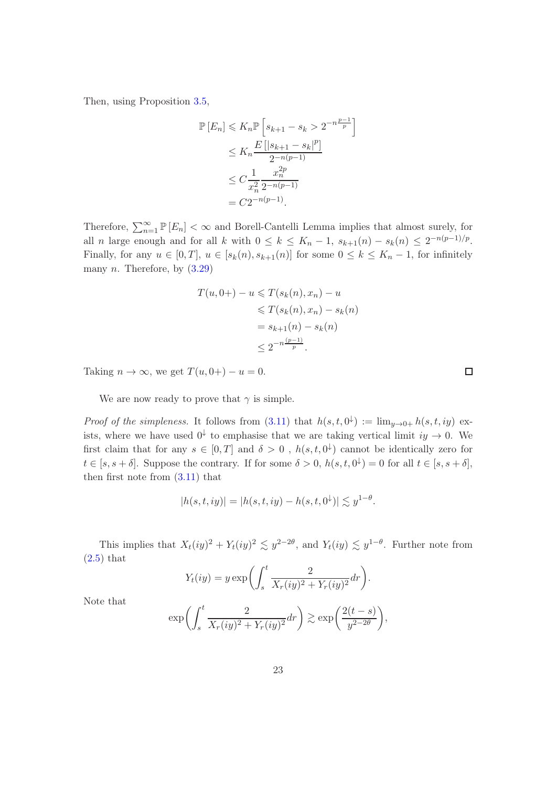Then, using Proposition [3.5,](#page-17-1)

$$
\mathbb{P}\left[E_n\right] \leqslant K_n \mathbb{P}\left[s_{k+1} - s_k > 2^{-n\frac{p-1}{p}}\right] \\
\leqslant K_n \frac{E\left[|s_{k+1} - s_k|^p\right]}{2^{-n(p-1)}} \\
\leqslant C \frac{1}{x_n^2} \frac{x_n^{2p}}{2^{-n(p-1)}} \\
= C 2^{-n(p-1)}.
$$

Therefore,  $\sum_{n=1}^{\infty} \mathbb{P}[E_n] < \infty$  and Borell-Cantelli Lemma implies that almost surely, for all *n* large enough and for all *k* with  $0 \le k \le K_n - 1$ ,  $s_{k+1}(n) - s_k(n) \le 2^{-n(p-1)/p}$ . Finally, for any  $u \in [0, T]$ ,  $u \in [s_k(n), s_{k+1}(n)]$  for some  $0 \le k \le K_n - 1$ , for infinitely many  $n$ . Therefore, by  $(3.29)$ 

$$
T(u, 0+) - u \leq T(s_k(n), x_n) - u
$$
  
\n
$$
\leq T(s_k(n), x_n) - s_k(n)
$$
  
\n
$$
= s_{k+1}(n) - s_k(n)
$$
  
\n
$$
\leq 2^{-n\frac{(p-1)}{p}}.
$$

Taking  $n \to \infty$ , we get  $T(u, 0+) - u = 0$ .

We are now ready to prove that  $\gamma$  is simple.

*Proof of the simpleness.* It follows from  $(3.11)$  that  $h(s,t,0^{\downarrow}) := \lim_{y\to 0+} h(s,t, iy)$  exists, where we have used  $0^{\downarrow}$  to emphasise that we are taking vertical limit  $iy \to 0$ . We first claim that for any  $s \in [0,T]$  and  $\delta > 0$ ,  $h(s,t,0^{\downarrow})$  cannot be identically zero for  $t \in [s, s + \delta]$ . Suppose the contrary. If for some  $\delta > 0$ ,  $h(s, t, 0^{\downarrow}) = 0$  for all  $t \in [s, s + \delta]$ , then first note from [\(3.11\)](#page-15-0) that

$$
|h(s, t, iy)| = |h(s, t, iy) - h(s, t, 0^{+})| \lesssim y^{1-\theta}.
$$

This implies that  $X_t(iy)^2 + Y_t(iy)^2 \leq y^{2-2\theta}$ , and  $Y_t(iy) \leq y^{1-\theta}$ . Further note from  $(2.5)$  that

$$
Y_t(iy) = y \exp\left(\int_s^t \frac{2}{X_r(iy)^2 + Y_r(iy)^2} dr\right).
$$

Note that

$$
\exp\biggl(\int_s^t \frac{2}{X_r(iy)^2 + Y_r(iy)^2} dr\biggr) \gtrsim \exp\biggl(\frac{2(t-s)}{y^{2-2\theta}}\biggr),
$$

 $\Box$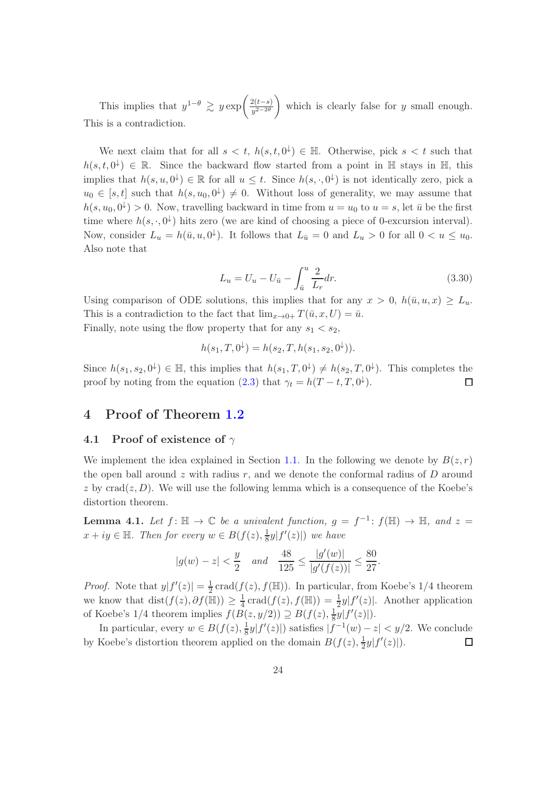This implies that  $y^{1-\theta} \geq y \exp\left(\frac{2(t-s)}{y^{2-2\theta}}\right)$  $y^{2-2\theta}$ which is clearly false for  $y$  small enough. This is a contradiction.

We next claim that for all  $s < t$ ,  $h(s, t, 0^{\downarrow}) \in \mathbb{H}$ . Otherwise, pick  $s < t$  such that  $h(s, t, 0^{\downarrow}) \in \mathbb{R}$ . Since the backward flow started from a point in  $\mathbb{H}$  stays in  $\mathbb{H}$ , this implies that  $h(s, u, 0^{\downarrow}) \in \mathbb{R}$  for all  $u \leq t$ . Since  $h(s, \cdot, 0^{\downarrow})$  is not identically zero, pick a  $u_0 \in [s, t]$  such that  $h(s, u_0, 0^{\downarrow}) \neq 0$ . Without loss of generality, we may assume that  $h(s, u_0, 0^{\downarrow}) > 0$ . Now, travelling backward in time from  $u = u_0$  to  $u = s$ , let  $\bar{u}$  be the first time where  $h(s, \cdot, 0^{\downarrow})$  hits zero (we are kind of choosing a piece of 0-excursion interval). Now, consider  $L_u = h(\bar{u}, u, 0^{\downarrow})$ . It follows that  $L_{\bar{u}} = 0$  and  $L_u > 0$  for all  $0 < u \leq u_0$ . Also note that

$$
L_u = U_u - U_{\bar{u}} - \int_{\bar{u}}^u \frac{2}{L_r} dr.
$$
\n(3.30)

.

Using comparison of ODE solutions, this implies that for any  $x > 0$ ,  $h(\bar{u}, u, x) \geq L_u$ . This is a contradiction to the fact that  $\lim_{x\to 0+} T(\bar{u}, x, U) = \bar{u}$ . Finally, note using the flow property that for any  $s_1 < s_2$ ,

$$
h(s_1, T, 0^{\downarrow}) = h(s_2, T, h(s_1, s_2, 0^{\downarrow})).
$$

Since  $h(s_1, s_2, 0^{\downarrow}) \in \mathbb{H}$ , this implies that  $h(s_1, T, 0^{\downarrow}) \neq h(s_2, T, 0^{\downarrow})$ . This completes the proof by noting from the equation [\(2.3\)](#page-10-0) that  $\gamma_t = h(T - t, T, 0^{\downarrow}).$  $\Box$ 

# <span id="page-23-1"></span><span id="page-23-0"></span>4 Proof of Theorem [1.2](#page-2-2)

#### 4.1 Proof of existence of  $\gamma$

We implement the idea explained in Section [1.1.](#page-7-0) In the following we denote by  $B(z, r)$ the open ball around  $z$  with radius  $r$ , and we denote the conformal radius of  $D$  around z by  $\text{crad}(z, D)$ . We will use the following lemma which is a consequence of the Koebe's distortion theorem.

<span id="page-23-2"></span>**Lemma 4.1.** Let  $f: \mathbb{H} \to \mathbb{C}$  be a univalent function,  $g = f^{-1}: f(\mathbb{H}) \to \mathbb{H}$ , and  $z =$  $x + iy \in \mathbb{H}$ . Then for every  $w \in B(f(z), \frac{1}{8})$  $\frac{1}{8}y|f'(z)|$  we have

$$
|g(w) - z| < \frac{y}{2}
$$
 and  $\frac{48}{125} \le \frac{|g'(w)|}{|g'(f(z))|} \le \frac{80}{27}$ 

*Proof.* Note that  $y|f'(z)| = \frac{1}{2}$  $\frac{1}{2}$  crad( $f(z)$ ,  $f(\mathbb{H})$ ). In particular, from Koebe's 1/4 theorem we know that  $dist(f(z), \partial f(\mathbb{H})) \geq \frac{1}{4} \text{crad}(f(z), f(\mathbb{H})) = \frac{1}{2}y|f'(z)|$ . Another application of Koebe's 1/4 theorem implies  $f(B(z, y/2)) \supseteq B(f(z), \frac{1}{8})$  $\frac{1}{8}y|f'(z)|$ ).

In particular, every  $w \in B(f(z), \frac{1}{8})$  $\frac{1}{8}y|f'(z)|$  satisfies  $|f^{-1}(w)-z| < y/2$ . We conclude by Koebe's distortion theorem applied on the domain  $B(f(z), \frac{1}{2})$  $\frac{1}{2}y|f'(z)|$ ).  $\Box$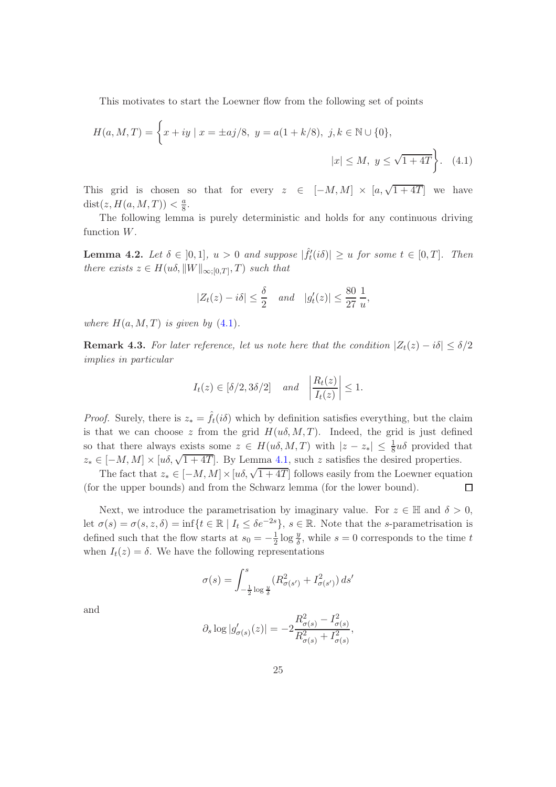This motivates to start the Loewner flow from the following set of points

$$
H(a, M, T) = \left\{ x + iy \mid x = \pm aj/8, \ y = a(1 + k/8), \ j, k \in \mathbb{N} \cup \{0\}, \ |x| \le M, \ y \le \sqrt{1 + 4T} \right\}. \tag{4.1}
$$

This grid is chosen so that for every  $z \in [-M, M] \times [a, \sqrt{1+4T}]$  we have  $dist(z, H(a, M, T)) < \frac{a}{8}$  $\frac{a}{8}$ .

<span id="page-24-1"></span>The following lemma is purely deterministic and holds for any continuous driving function W.

**Lemma 4.2.** Let  $\delta \in [0,1], u > 0$  and suppose  $|\hat{f}'_t(i\delta)| \geq u$  for some  $t \in [0,T].$  Then there exists  $z \in H(u\delta, ||W||_{\infty;[0,T]}, T)$  such that

<span id="page-24-0"></span>
$$
|Z_t(z) - i\delta| \le \frac{\delta}{2} \quad and \quad |g_t'(z)| \le \frac{80}{27} \frac{1}{u},
$$

where  $H(a, M, T)$  is given by  $(4.1)$ .

**Remark 4.3.** For later reference, let us note here that the condition  $|Z_t(z) - i\delta| \leq \delta/2$ implies in particular

$$
I_t(z) \in [\delta/2, 3\delta/2]
$$
 and  $\left| \frac{R_t(z)}{I_t(z)} \right| \le 1$ .

*Proof.* Surely, there is  $z_* = \hat{f}_t(i\delta)$  which by definition satisfies everything, but the claim is that we can choose z from the grid  $H(u\delta, M, T)$ . Indeed, the grid is just defined so that there always exists some  $z \in H(u\delta, M, T)$  with  $|z - z_*| \leq \frac{1}{8}u\delta$  provided that  $z_* \in [-M, M] \times [u\delta, \sqrt{1+4T}]$ . By Lemma [4.1,](#page-23-2) such z satisfies the desired properties.

The fact that  $z_* \in [-M, M] \times [u\delta, \sqrt{1+4T}]$  follows easily from the Loewner equation (for the upper bounds) and from the Schwarz lemma (for the lower bound).  $\Box$ 

Next, we introduce the parametrisation by imaginary value. For  $z \in \mathbb{H}$  and  $\delta > 0$ , let  $\sigma(s) = \sigma(s, z, \delta) = \inf\{t \in \mathbb{R} \mid I_t \leq \delta e^{-2s}\}, s \in \mathbb{R}$ . Note that the s-parametrisation is defined such that the flow starts at  $s_0 = -\frac{1}{2}$  $\frac{1}{2} \log \frac{y}{\delta}$ , while  $s = 0$  corresponds to the time t when  $I_t(z) = \delta$ . We have the following representations

$$
\sigma(s) = \int_{-\frac{1}{2}\log\frac{y}{\delta}}^{s} (R_{\sigma(s')}^2 + I_{\sigma(s')}^2) ds'
$$

and

$$
\partial_s \log |g_{\sigma(s)}'(z)| = -2 \frac{R_{\sigma(s)}^2 - I_{\sigma(s)}^2}{R_{\sigma(s)}^2 + I_{\sigma(s)}^2},
$$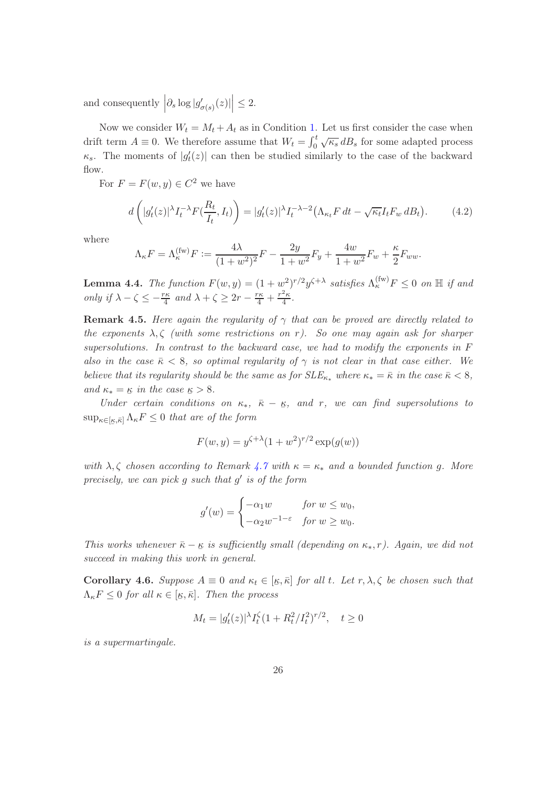and consequently  $\left|\partial_s \log |g'_{\sigma(s)}(z)|\right| \leq 2$ .

Now we consider  $W_t = M_t + A_t$  as in Condition [1.](#page-1-0) Let us first consider the case when drift term  $A \equiv 0$ . We therefore assume that  $W_t = \int_0^t \sqrt{\kappa_s} dB_s$  for some adapted process  $\kappa_s$ . The moments of  $|g_t'(z)|$  can then be studied similarly to the case of the backward flow.

For  $F = F(w, y) \in C^2$  we have

<span id="page-25-1"></span>
$$
d\left(|g_t'(z)|^\lambda I_t^{-\lambda} F(\frac{R_t}{I_t}, I_t)\right) = |g_t'(z)|^\lambda I_t^{-\lambda - 2} \left(\Lambda_{\kappa_t} F dt - \sqrt{\kappa_t} I_t F_w dB_t\right). \tag{4.2}
$$

where

$$
\Lambda_{\kappa}F = \Lambda_{\kappa}^{(\text{fw})}F := \frac{4\lambda}{(1+w^2)^2}F - \frac{2y}{1+w^2}F_y + \frac{4w}{1+w^2}F_w + \frac{\kappa}{2}F_{ww}.
$$

**Lemma 4.4.** The function  $F(w, y) = (1 + w^2)^{r/2} y^{\zeta + \lambda}$  satisfies  $\Lambda_{\kappa}^{(\text{fw})} F \leq 0$  on  $\mathbb{H}$  if and only if  $\lambda - \zeta \leq -\frac{r\kappa}{4}$  and  $\lambda + \zeta \geq 2r - \frac{r\kappa}{4} + \frac{r^2\kappa}{4}$  $rac{2\kappa}{4}$ .

**Remark 4.5.** Here again the regularity of  $\gamma$  that can be proved are directly related to the exponents  $\lambda, \zeta$  (with some restrictions on r). So one may again ask for sharper supersolutions. In contrast to the backward case, we had to modify the exponents in F also in the case  $\bar{\kappa} < 8$ , so optimal regularity of  $\gamma$  is not clear in that case either. We believe that its regularity should be the same as for  $SLE_{\kappa_*}$  where  $\kappa_* = \bar{\kappa}$  in the case  $\bar{\kappa} < 8$ , and  $\kappa_* = \kappa$  in the case  $\kappa > 8$ .

Under certain conditions on  $\kappa_*$ ,  $\bar{\kappa} - \kappa$ , and r, we can find supersolutions to  $\sup_{\kappa \in [\underline{\kappa},\bar{\kappa}]} \Lambda_{\kappa} F \leq 0$  that are of the form ¯

$$
F(w, y) = y^{\zeta + \lambda} (1 + w^2)^{r/2} \exp(g(w))
$$

with  $\lambda, \zeta$  chosen according to Remark [4.7](#page-25-0) with  $\kappa = \kappa_*$  and a bounded function g. More precisely, we can pick g such that g' is of the form

$$
g'(w) = \begin{cases} -\alpha_1 w & \text{for } w \le w_0, \\ -\alpha_2 w^{-1-\varepsilon} & \text{for } w \ge w_0. \end{cases}
$$

This works whenever  $\bar{\kappa} - \kappa$  is sufficiently small (depending on  $\kappa_*, r$ ). Again, we did not succeed in making this work in general.

<span id="page-25-2"></span>**Corollary 4.6.** Suppose  $A \equiv 0$  and  $\kappa_t \in [\underline{\kappa}, \overline{\kappa}]$  for all t. Let  $r, \lambda, \zeta$  be chosen such that  $\Lambda_{\kappa} F \leq 0$  for all  $\kappa \in [\underline{\kappa}, \overline{\kappa}]$ . Then the process

$$
M_t = |g_t'(z)|^{\lambda} I_t^{\zeta} (1 + R_t^2 / I_t^2)^{r/2}, \quad t \ge 0
$$

<span id="page-25-0"></span>is a supermartingale.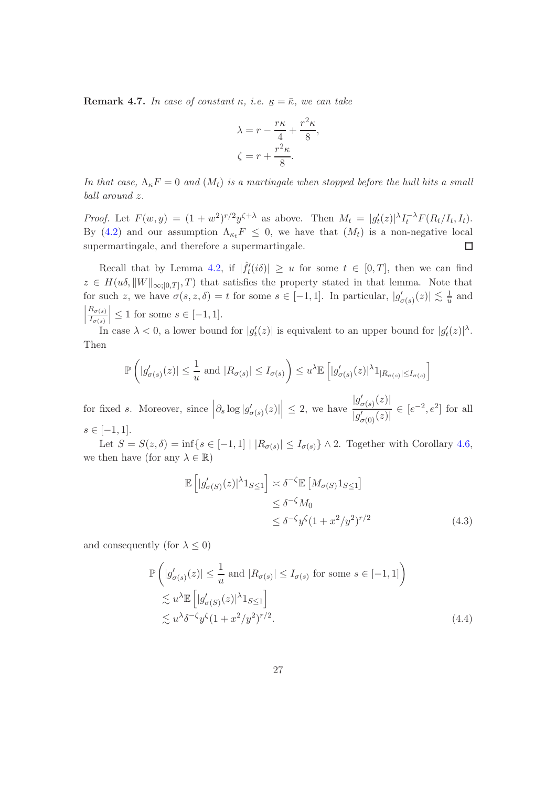**Remark 4.7.** In case of constant  $\kappa$ , *i.e.*  $\underline{\kappa} = \overline{\kappa}$ , we can take

$$
\lambda = r - \frac{r\kappa}{4} + \frac{r^2\kappa}{8},
$$

$$
\zeta = r + \frac{r^2\kappa}{8}.
$$

In that case,  $\Lambda_{\kappa}F=0$  and  $(M_t)$  is a martingale when stopped before the hull hits a small ball around z.

*Proof.* Let  $F(w, y) = (1 + w^2)^{r/2} y^{\zeta + \lambda}$  as above. Then  $M_t = |g_t'(z)|^{\lambda} I_t^{-\lambda} F(R_t/I_t, I_t)$ . By [\(4.2\)](#page-25-1) and our assumption  $\Lambda_{\kappa_t}F \leq 0$ , we have that  $(M_t)$  is a non-negative local supermartingale, and therefore a supermartingale.  $\Box$ 

Recall that by Lemma [4.2,](#page-24-1) if  $|\hat{f}'_t(i\delta)| \geq u$  for some  $t \in [0,T]$ , then we can find  $z \in H(u\delta, \|W\|_{\infty,[0,T]}, T)$  that satisfies the property stated in that lemma. Note that for such z, we have  $\sigma(s, z, \delta) = t$  for some  $s \in [-1, 1]$ . In particular,  $|g'_{\sigma(s)}(z)| \lesssim \frac{1}{u}$  $\frac{1}{u}$  and  $\begin{array}{c} \begin{array}{c} \begin{array}{c} \end{array}\\ \begin{array}{c} \end{array} \end{array} \end{array}$  $R_{\sigma(s)}$  $I_{\sigma(s)}$  $\vert \leq 1$  for some  $s \in [-1, 1].$ 

In case  $\lambda < 0$ , a lower bound for  $|g_t'(z)|$  is equivalent to an upper bound for  $|g_t'(z)|^{\lambda}$ . Then

$$
\mathbb{P}\left(|g'_{\sigma(s)}(z)| \leq \frac{1}{u} \text{ and } |R_{\sigma(s)}| \leq I_{\sigma(s)}\right) \leq u^{\lambda} \mathbb{E}\left(|g'_{\sigma(s)}(z)|^{\lambda}1_{|R_{\sigma(s)}| \leq I_{\sigma(s)}}\right)
$$

for fixed s. Moreover, since  $\left|\partial_s \log |g'_{\sigma(s)}(z)|\right| \leq 2$ , we have  $|g'_{\sigma(s)}(z)|$  $\frac{|g_{\sigma(s)}(z)|}{|g_{\sigma(0)}'(z)|} \in [e^{-2}, e^2]$  for all  $s \in [-1, 1].$ 

Let  $S = S(z, \delta) = \inf\{s \in [-1, 1] \mid |R_{\sigma(s)}| \leq I_{\sigma(s)}\} \wedge 2$ . Together with Corollary [4.6,](#page-25-2) we then have (for any  $\lambda \in \mathbb{R}$ )

<span id="page-26-2"></span><span id="page-26-0"></span>
$$
\mathbb{E}\left[|g'_{\sigma(S)}(z)|^{\lambda}1_{S\leq 1}\right] \approx \delta^{-\zeta}\mathbb{E}\left[M_{\sigma(S)}1_{S\leq 1}\right] \leq \delta^{-\zeta}M_0
$$
  

$$
\leq \delta^{-\zeta}y^{\zeta}(1+x^2/y^2)^{r/2}
$$
(4.3)

<span id="page-26-1"></span>and consequently (for  $\lambda \leq 0$ )

$$
\mathbb{P}\left(|g'_{\sigma(s)}(z)| \leq \frac{1}{u} \text{ and } |R_{\sigma(s)}| \leq I_{\sigma(s)} \text{ for some } s \in [-1, 1]\right)
$$
  
\$\lesssim u^{\lambda} \mathbb{E}\left[|g'\_{\sigma(S)}(z)|^{\lambda}1\_{S \leq 1}\right]\$  
\$\lesssim u^{\lambda} \delta^{-\zeta} y^{\zeta} (1 + x^2/y^2)^{r/2}\$. (4.4)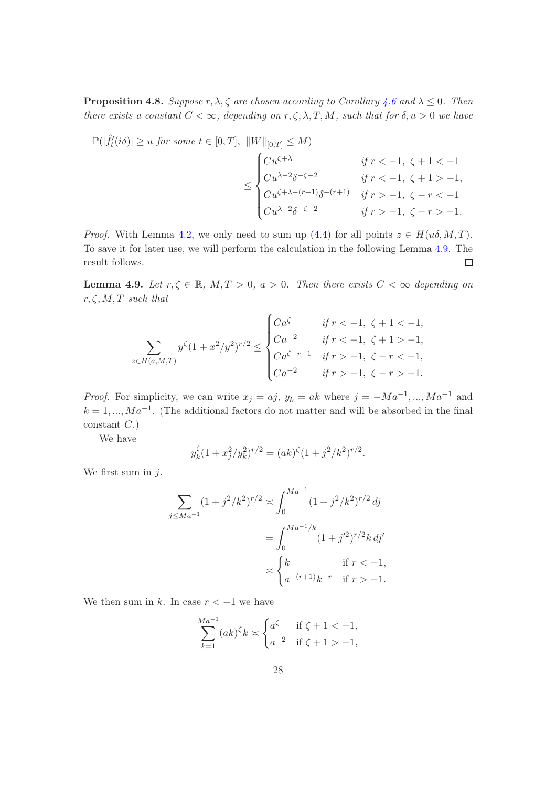**Proposition 4.8.** Suppose r,  $\lambda$ ,  $\zeta$  are chosen according to Corollary [4.6](#page-25-2) and  $\lambda \leq 0$ . Then there exists a constant  $C < \infty$ , depending on  $r, \zeta, \lambda, T, M$ , such that for  $\delta, u > 0$  we have

$$
\mathbb{P}(|\hat{f}'_t(i\delta)| \ge u \text{ for some } t \in [0, T], ||W||_{[0,T]} \le M)
$$
\n
$$
\le \begin{cases}\nCu^{\zeta + \lambda} & \text{if } r < -1, \ \zeta + 1 < -1 \\
Cu^{\lambda - 2} \delta^{-\zeta - 2} & \text{if } r < -1, \ \zeta + 1 > -1, \\
Cu^{\zeta + \lambda - (r+1)} \delta^{-(r+1)} & \text{if } r > -1, \ \zeta - r < -1 \\
Cu^{\lambda - 2} \delta^{-\zeta - 2} & \text{if } r > -1, \ \zeta - r > -1.\n\end{cases}
$$

*Proof.* With Lemma [4.2,](#page-24-1) we only need to sum up [\(4.4\)](#page-26-0) for all points  $z \in H(u\delta, M, T)$ . To save it for later use, we will perform the calculation in the following Lemma [4.9.](#page-27-0) The result follows.  $\Box$ 

<span id="page-27-0"></span>**Lemma 4.9.** Let  $r, \zeta \in \mathbb{R}$ ,  $M, T > 0$ ,  $a > 0$ . Then there exists  $C < \infty$  depending on  $r, \zeta, M, T$  such that

$$
\sum_{z \in H(a,M,T)} y^{\zeta} (1+x^2/y^2)^{r/2} \le \begin{cases} C a^{\zeta} & \text{if } r < -1, \ \zeta + 1 < -1, \\ C a^{-2} & \text{if } r < -1, \ \zeta + 1 > -1, \\ C a^{\zeta - r - 1} & \text{if } r > -1, \ \zeta - r < -1, \\ C a^{-2} & \text{if } r > -1, \ \zeta - r > -1. \end{cases}
$$

*Proof.* For simplicity, we can write  $x_j = aj$ ,  $y_k = ak$  where  $j = -Ma^{-1}, ..., Ma^{-1}$  and  $k = 1, ..., Ma^{-1}$ . (The additional factors do not matter and will be absorbed in the final  $constant$   $C.$ 

We have

$$
y_k^{\zeta}(1+x_j^2/y_k^2)^{r/2} = (ak)^{\zeta}(1+j^2/k^2)^{r/2}.
$$

We first sum in  $j$ .

$$
\sum_{j \le Ma^{-1}} (1+j^2/k^2)^{r/2} \approx \int_0^{Ma^{-1}} (1+j^2/k^2)^{r/2} \, dj
$$

$$
= \int_0^{Ma^{-1}/k} (1+j'^2)^{r/2} k \, dj'
$$

$$
\asymp \begin{cases} k & \text{if } r < -1, \\ a^{-(r+1)}k^{-r} & \text{if } r > -1. \end{cases}
$$

We then sum in k. In case  $r < -1$  we have

$$
\sum_{k=1}^{Ma^{-1}} (ak)^{\zeta} k \asymp \begin{cases} a^{\zeta} & \text{if } \zeta + 1 < -1, \\ a^{-2} & \text{if } \zeta + 1 > -1, \end{cases}
$$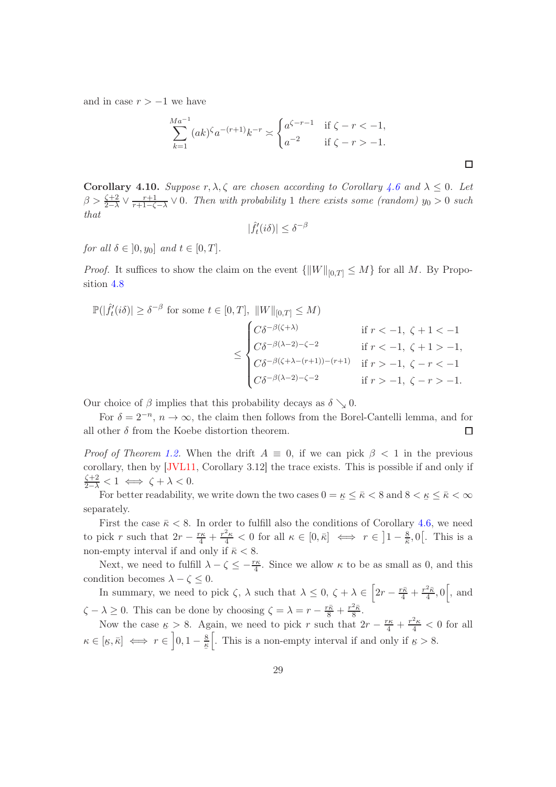and in case  $r > -1$  we have

$$
\sum_{k=1}^{Ma^{-1}} (ak)^{\zeta} a^{-(r+1)} k^{-r} \asymp \begin{cases} a^{\zeta - r - 1} & \text{if } \zeta - r < -1, \\ a^{-2} & \text{if } \zeta - r > -1. \end{cases}
$$

**Corollary 4.10.** Suppose  $r, \lambda, \zeta$  are chosen according to Corollary [4.6](#page-25-2) and  $\lambda \leq 0$ . Let  $\beta > \frac{\zeta+2}{2-\lambda} \vee \frac{r+1}{r+1-\zeta}$  $\frac{r+1}{r+1-\zeta-\lambda}$   $\vee$  0. Then with probability 1 there exists some (random)  $y_0 > 0$  such that

$$
|\hat{f}'_t(i\delta)| \le \delta^{-\beta}
$$

for all  $\delta \in [0, y_0]$  and  $t \in [0, T]$ .

*Proof.* It suffices to show the claim on the event  $\{||W||_{[0,T]} \leq M\}$  for all M. By Proposition [4.8](#page-26-1)

$$
\mathbb{P}(|\hat{f}'_t(i\delta)| \geq \delta^{-\beta} \text{ for some } t \in [0, T], ||W||_{[0,T]} \leq M)
$$
  

$$
\leq \begin{cases} C\delta^{-\beta(\zeta+\lambda)} & \text{if } r < -1, \ \zeta + 1 < -1 \\ C\delta^{-\beta(\lambda-2)-\zeta-2} & \text{if } r < -1, \ \zeta + 1 > -1, \\ C\delta^{-\beta(\zeta+\lambda-(r+1))-(r+1)} & \text{if } r > -1, \ \zeta - r < -1 \\ C\delta^{-\beta(\lambda-2)-\zeta-2} & \text{if } r > -1, \ \zeta - r > -1. \end{cases}
$$

Our choice of  $\beta$  implies that this probability decays as  $\delta \searrow 0$ .

For  $\delta = 2^{-n}$ ,  $n \to \infty$ , the claim then follows from the Borel-Cantelli lemma, and for all other  $\delta$  from the Koebe distortion theorem.  $\Box$ 

*Proof of Theorem [1.2.](#page-2-2)* When the drift  $A \equiv 0$ , if we can pick  $\beta < 1$  in the previous corollary, then by [\[JVL11,](#page-34-5) Corollary 3.12] the trace exists. This is possible if and only if  $\frac{\zeta+2}{2-\lambda}<1 \iff \zeta+\lambda<0.$ 

For better readability, we write down the two cases  $0 = \underline{\kappa} \leq \bar{\kappa} < 8$  and  $8 < \underline{\kappa} \leq \bar{\kappa} < \infty$ separately.

First the case  $\bar{\kappa}$  < 8. In order to fulfill also the conditions of Corollary [4.6,](#page-25-2) we need to pick r such that  $2r - \frac{r\kappa}{4} + \frac{r^2\kappa}{4} < 0$  for all  $\kappa \in [0, \bar{\kappa}] \iff r \in \left]1 - \frac{8}{\bar{\kappa}}\right]$  $\frac{8}{\overline{\kappa}}, 0$ . This is a non-empty interval if and only if  $\bar{\kappa} < 8$ .

Next, we need to fulfill  $\lambda - \zeta \leq -\frac{r\kappa}{4}$ . Since we allow  $\kappa$  to be as small as 0, and this condition becomes  $\lambda - \zeta \leq 0$ .

In summary, we need to pick  $\zeta$ ,  $\lambda$  such that  $\lambda \leq 0$ ,  $\zeta + \lambda \in \left[2r - \frac{r\bar{\kappa}}{4} + \frac{r^2\bar{\kappa}}{4}\right]$  $\frac{2\bar{\kappa}}{4}$ , 0, and  $\zeta - \lambda \geq 0$ . This can be done by choosing  $\zeta = \lambda = r - \frac{r\bar{\kappa}}{8} + \frac{r^2\bar{\kappa}}{8}$  $rac{2\kappa}{8}$ .

Now the case  $\kappa > 8$ . Again, we need to pick r such that  $2r - \frac{r\kappa}{4} + \frac{r^2\kappa}{4} < 0$  for all  $\kappa \in [\underline{\kappa}, \overline{\kappa}] \iff r \in \left]0, 1 - \frac{8}{\underline{\kappa}}\right[$ . This is a non-empty interval if and only if  $\underline{\kappa} > 8$ .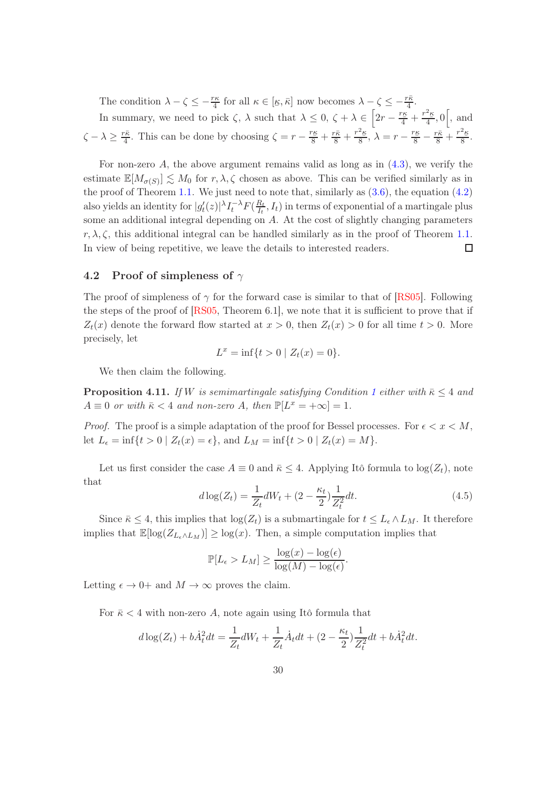The condition  $\lambda - \zeta \leq -\frac{r\kappa}{4}$  for all  $\kappa \in [\kappa, \bar{\kappa}]$  now becomes  $\lambda - \zeta \leq -\frac{r\bar{\kappa}}{4}$ .  $\ddot{}$ In summary, we need to pick  $\zeta$ ,  $\lambda$  such that  $\lambda \leq 0$ ,  $\zeta + \lambda \in \left[2r - \frac{r\kappa}{4} + \frac{r^2\kappa}{4}\right]$  $\frac{2\kappa}{4}$ , 0, and  $\zeta - \lambda \geq \frac{r\bar{\kappa}}{4}$  $\frac{r\bar{\kappa}}{4}$ . This can be done by choosing  $\zeta = r - \frac{r\kappa}{8} + \frac{r\bar{\kappa}}{8} + \frac{r^2\kappa}{8}$  $\frac{2\kappa}{8}, \lambda = r - \frac{r\kappa}{8} - \frac{r\bar{\kappa}}{8} + \frac{r^2\kappa}{8}$  $\frac{\frac{h}{2}}{8}$ .

For non-zero  $A$ , the above argument remains valid as long as in  $(4.3)$ , we verify the estimate  $\mathbb{E}[M_{\sigma(S)}] \lesssim M_0$  for  $r, \lambda, \zeta$  chosen as above. This can be verified similarly as in the proof of Theorem [1.1.](#page-2-1) We just need to note that, similarly as  $(3.6)$ , the equation  $(4.2)$ also yields an identity for  $|g_t'(z)|^{\lambda} I_t^{-\lambda} F(\frac{R_t}{I_t})$  $\frac{K_t}{I_t}, I_t$ ) in terms of exponential of a martingale plus some an additional integral depending on A. At the cost of slightly changing parameters  $r, \lambda, \zeta$ , this additional integral can be handled similarly as in the proof of Theorem [1.1.](#page-2-1) In view of being repetitive, we leave the details to interested readers.  $\Box$ 

#### <span id="page-29-0"></span>4.2 Proof of simpleness of  $\gamma$

The proof of simpleness of  $\gamma$  for the forward case is similar to that of [\[RS05\]](#page-34-1). Following the steps of the proof of  $[RS05, Theorem 6.1]$ , we note that it is sufficient to prove that if  $Z_t(x)$  denote the forward flow started at  $x > 0$ , then  $Z_t(x) > 0$  for all time  $t > 0$ . More precisely, let

$$
L^x = \inf\{t > 0 \mid Z_t(x) = 0\}.
$$

We then claim the following.

**Proposition 4.[1](#page-1-0)1.** If W is semimartingale satisfying Condition 1 either with  $\bar{\kappa} \leq 4$  and  $A \equiv 0$  or with  $\bar{\kappa} < 4$  and non-zero A, then  $\mathbb{P}[L^x = +\infty] = 1$ .

*Proof.* The proof is a simple adaptation of the proof for Bessel processes. For  $\epsilon < x < M$ , let  $L_{\epsilon} = \inf\{t > 0 \mid Z_t(x) = \epsilon\}$ , and  $L_M = \inf\{t > 0 \mid Z_t(x) = M\}.$ 

Let us first consider the case  $A \equiv 0$  and  $\bar{\kappa} \leq 4$ . Applying Itô formula to  $\log(Z_t)$ , note that

$$
d\log(Z_t) = \frac{1}{Z_t} dW_t + (2 - \frac{\kappa_t}{2}) \frac{1}{Z_t^2} dt.
$$
\n(4.5)

Since  $\bar{\kappa} \leq 4$ , this implies that  $\log(Z_t)$  is a submartingale for  $t \leq L_{\epsilon} \wedge L_M$ . It therefore implies that  $\mathbb{E}[\log(Z_{L_{\epsilon} \wedge L_M})] \geq \log(x)$ . Then, a simple computation implies that

$$
\mathbb{P}[L_{\epsilon} > L_M] \ge \frac{\log(x) - \log(\epsilon)}{\log(M) - \log(\epsilon)}.
$$

Letting  $\epsilon \to 0^+$  and  $M \to \infty$  proves the claim.

For  $\bar{\kappa}$  < 4 with non-zero A, note again using Itô formula that

$$
d\log(Z_t) + b\dot{A}_t^2 dt = \frac{1}{Z_t} dW_t + \frac{1}{Z_t} \dot{A}_t dt + (2 - \frac{\kappa_t}{2}) \frac{1}{Z_t^2} dt + b\dot{A}_t^2 dt.
$$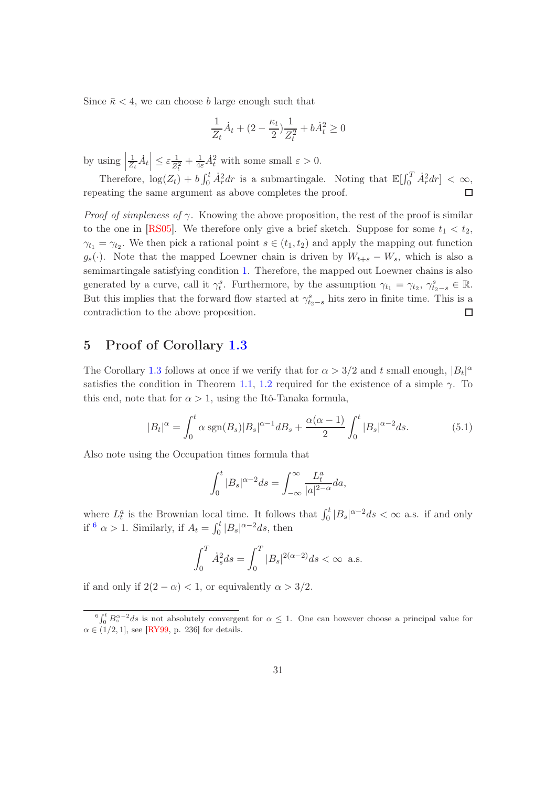Since  $\bar{\kappa}$  < 4, we can choose b large enough such that

$$
\frac{1}{Z_t}\dot{A}_t + (2 - \frac{\kappa_t}{2})\frac{1}{Z_t^2} + b\dot{A}_t^2 \ge 0
$$

by using  $\frac{1}{Z}$  $|2t|^t = Z_t^2$  $\frac{1}{Z_t}\dot{A}_t \leq \varepsilon \frac{1}{Z_t^2} + \frac{1}{4\varepsilon} \dot{A}_t^2$  with some small  $\varepsilon > 0$ .

Therefore,  $\log(Z_t) + b \int_0^t \dot{A}_r^2 dr$  is a submartingale. Noting that  $\mathbb{E}[\int_0^T \dot{A}_r^2 dr] < \infty$ , repeating the same argument as above completes the proof.

*Proof of simpleness of*  $\gamma$ . Knowing the above proposition, the rest of the proof is similar to the one in [\[RS05\]](#page-34-1). We therefore only give a brief sketch. Suppose for some  $t_1 < t_2$ ,  $\gamma_{t_1} = \gamma_{t_2}$ . We then pick a rational point  $s \in (t_1, t_2)$  and apply the mapping out function  $g_s(\cdot)$ . Note that the mapped Loewner chain is driven by  $W_{t+s} - W_s$ , which is also a semimartingale satisfying condition [1.](#page-1-0) Therefore, the mapped out Loewner chains is also generated by a curve, call it  $\gamma_t^s$ . Furthermore, by the assumption  $\gamma_{t_1} = \gamma_{t_2}, \gamma_{t_2-s}^s \in \mathbb{R}$ . But this implies that the forward flow started at  $\gamma_{t_2-s}^s$  hits zero in finite time. This is a contradiction to the above proposition.  $\Box$ 

# <span id="page-30-0"></span>5 Proof of Corollary [1.3](#page-2-4)

The Corollary [1.3](#page-2-4) follows at once if we verify that for  $\alpha > 3/2$  and t small enough,  $|B_t|^{\alpha}$ satisfies the condition in Theorem [1.1,](#page-2-1) [1.2](#page-2-2) required for the existence of a simple  $\gamma$ . To this end, note that for  $\alpha > 1$ , using the Itô-Tanaka formula,

$$
|B_t|^{\alpha} = \int_0^t \alpha \operatorname{sgn}(B_s) |B_s|^{\alpha - 1} dB_s + \frac{\alpha(\alpha - 1)}{2} \int_0^t |B_s|^{\alpha - 2} ds. \tag{5.1}
$$

Also note using the Occupation times formula that

$$
\int_0^t |B_s|^{\alpha-2} ds = \int_{-\infty}^\infty \frac{L_t^a}{|a|^{2-\alpha}} da,
$$

where  $L_t^a$  is the Brownian local time. It follows that  $\int_0^t |B_s|^{\alpha-2} ds < \infty$  a.s. if and only if  $\frac{6}{\alpha} > 1$  $\frac{6}{\alpha} > 1$  $\frac{6}{\alpha} > 1$ . Similarly, if  $A_t = \int_0^t |B_s|^{\alpha - 2} ds$ , then

$$
\int_0^T \dot{A}_s^2 ds = \int_0^T |B_s|^{2(\alpha - 2)} ds < \infty \text{ a.s.}
$$

if and only if  $2(2 - \alpha) < 1$ , or equivalently  $\alpha > 3/2$ .

<span id="page-30-1"></span> ${}^6\int_0^t B_s^{\alpha-2} ds$  is not absolutely convergent for  $\alpha \leq 1$ . One can however choose a principal value for  $\alpha \in (1/2, 1]$ , see [\[RY99,](#page-34-9) p. 236] for details.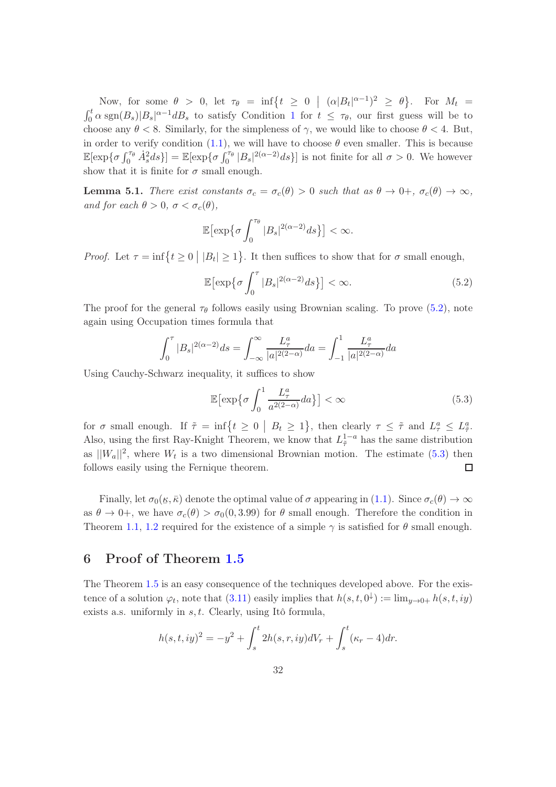Now, for some  $\theta > 0$ , let  $\tau_{\theta} = \inf \{ t \geq 0 \mid (\alpha |B_t|^{\alpha-1})^2 \geq \theta \}$ . For  $M_t =$  $\int_0^t \alpha \operatorname{sgn}(B_s)|B_s|^{\alpha-1}dB_s$  $\int_0^t \alpha \operatorname{sgn}(B_s)|B_s|^{\alpha-1}dB_s$  $\int_0^t \alpha \operatorname{sgn}(B_s)|B_s|^{\alpha-1}dB_s$  to satisfy Condition 1 for  $t \leq \tau_\theta$ , our first guess will be to choose any  $\theta < 8$ . Similarly, for the simpleness of  $\gamma$ , we would like to choose  $\theta < 4$ . But, in order to verify condition [\(1.1\)](#page-2-5), we will have to choose  $\theta$  even smaller. This is because  $\mathbb{E}[\exp{\{\sigma \int_0^{\tau_\theta} \dot{A}_s^2 ds\}}] = \mathbb{E}[\exp{\{\sigma \int_0^{\tau_\theta} |B_s|^{2(\alpha-2)} ds\}}]$  is not finite for all  $\sigma > 0$ . We however show that it is finite for  $\sigma$  small enough.

**Lemma 5.1.** There exist constants  $\sigma_c = \sigma_c(\theta) > 0$  such that as  $\theta \to 0^+, \sigma_c(\theta) \to \infty$ , and for each  $\theta > 0$ ,  $\sigma < \sigma_c(\theta)$ ,

$$
\mathbb{E}\bigl[\exp\bigl\{\sigma\int_0^{\tau_\theta}|B_s|^{2(\alpha-2)}ds\bigr\}\bigr]<\infty.
$$

*Proof.* Let  $\tau = \inf\{t \geq 0 \mid |B_t| \geq 1\}$ . It then suffices to show that for  $\sigma$  small enough,

<span id="page-31-1"></span>
$$
\mathbb{E}\left[\exp\left\{\sigma \int_0^\tau |B_s|^{2(\alpha-2)} ds\right\}\right] < \infty. \tag{5.2}
$$

The proof for the general  $\tau_{\theta}$  follows easily using Brownian scaling. To prove [\(5.2\)](#page-31-1), note again using Occupation times formula that

$$
\int_0^{\tau} |B_s|^{2(\alpha - 2)} ds = \int_{-\infty}^{\infty} \frac{L_\tau^a}{|a|^{2(2-\alpha)}} da = \int_{-1}^1 \frac{L_\tau^a}{|a|^{2(2-\alpha)}} da
$$

Using Cauchy-Schwarz inequality, it suffices to show

<span id="page-31-2"></span>
$$
\mathbb{E}\left[\exp\left\{\sigma \int_0^1 \frac{L_\tau^a}{a^{2(2-\alpha)}} da\right\}\right] < \infty \tag{5.3}
$$

for  $\sigma$  small enough. If  $\tilde{\tau} = \inf\{t \ge 0 \mid B_t \ge 1\}$ , then clearly  $\tau \le \tilde{\tau}$  and  $L^a_{\tau} \le L^a_{\tilde{\tau}}$ . Also, using the first Ray-Knight Theorem, we know that  $L_{\tilde{\tau}}^{1-a}$  has the same distribution as  $||W_a||^2$ , where  $W_t$  is a two dimensional Brownian motion. The estimate [\(5.3\)](#page-31-2) then follows easily using the Fernique theorem.  $\Box$ 

Finally, let  $\sigma_0(\underline{\kappa}, \overline{\kappa})$  denote the optimal value of  $\sigma$  appearing in [\(1.1\)](#page-2-5). Since  $\sigma_c(\theta) \to \infty$ as  $\theta \to 0^+$ , we have  $\sigma_c(\theta) > \sigma_0(0, 3.99)$  for  $\theta$  small enough. Therefore the condition in Theorem [1.1,](#page-2-1) [1.2](#page-2-2) required for the existence of a simple  $\gamma$  is satisfied for  $\theta$  small enough.

# <span id="page-31-0"></span>6 Proof of Theorem [1.5](#page-5-4)

The Theorem [1.5](#page-5-4) is an easy consequence of the techniques developed above. For the existence of a solution  $\varphi_t$ , note that  $(3.11)$  easily implies that  $h(s,t,0^{\downarrow}) := \lim_{y\to 0+} h(s,t,iy)$ exists a.s. uniformly in  $s, t$ . Clearly, using Itô formula,

$$
h(s, t, iy)^{2} = -y^{2} + \int_{s}^{t} 2h(s, r, iy)dV_{r} + \int_{s}^{t} (\kappa_{r} - 4)dr.
$$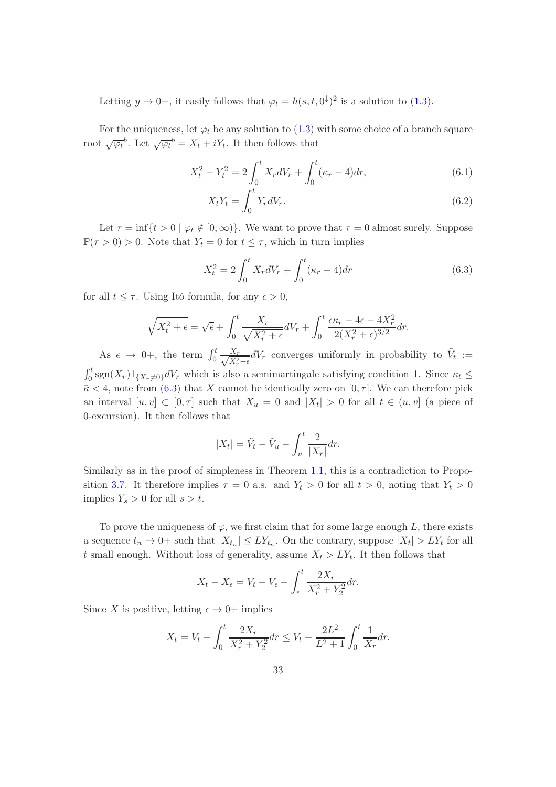Letting  $y \to 0^+$ , it easily follows that  $\varphi_t = h(s, t, 0^{\downarrow})^2$  is a solution to [\(1.3\)](#page-4-0).

For the uniqueness, let  $\varphi_t$  be any solution to [\(1.3\)](#page-4-0) with some choice of a branch square root  $\sqrt{\varphi_t}^b$ . Let  $\sqrt{\varphi_t}^b = X_t + iY_t$ . It then follows that

$$
X_t^2 - Y_t^2 = 2 \int_0^t X_r dV_r + \int_0^t (\kappa_r - 4) dr,\tag{6.1}
$$

$$
X_t Y_t = \int_0^t Y_r dV_r. \tag{6.2}
$$

Let  $\tau = \inf\{t > 0 \mid \varphi_t \notin [0, \infty)\}\.$  We want to prove that  $\tau = 0$  almost surely. Suppose  $\mathbb{P}(\tau > 0) > 0$ . Note that  $Y_t = 0$  for  $t \leq \tau$ , which in turn implies

<span id="page-32-0"></span>
$$
X_t^2 = 2 \int_0^t X_r dV_r + \int_0^t (\kappa_r - 4) dr \tag{6.3}
$$

for all  $t \leq \tau$ . Using Itô formula, for any  $\epsilon > 0$ ,

$$
\sqrt{X_t^2 + \epsilon} = \sqrt{\epsilon} + \int_0^t \frac{X_r}{\sqrt{X_r^2 + \epsilon}} dV_r + \int_0^t \frac{\epsilon \kappa_r - 4\epsilon - 4X_r^2}{2(X_r^2 + \epsilon)^{3/2}} dr.
$$

As  $\epsilon \rightarrow 0^+$ , the term  $\int_0^t \frac{X_r}{\sqrt{X^2}}$  $\frac{X_r}{X_r^2 + \epsilon} dV_r$  converges uniformly in probability to  $\tilde{V}_t :=$  $\int_0^t \text{sgn}(X_r)1_{\{X_r\neq 0\}}dV_r$  which is also a semimartingale satisfying condition [1.](#page-1-0) Since  $\kappa_t \leq$ 

 $\bar{\kappa}$  < 4, note from [\(6.3\)](#page-32-0) that X cannot be identically zero on [0,  $\tau$ ]. We can therefore pick an interval  $[u, v] \subset [0, \tau]$  such that  $X_u = 0$  and  $|X_t| > 0$  for all  $t \in (u, v]$  (a piece of 0-excursion). It then follows that

$$
|X_t| = \tilde{V}_t - \tilde{V}_u - \int_u^t \frac{2}{|X_r|} dr.
$$

Similarly as in the proof of simpleness in Theorem [1.1,](#page-2-1) this is a contradiction to Propo-sition [3.7.](#page-20-2) It therefore implies  $\tau = 0$  a.s. and  $Y_t > 0$  for all  $t > 0$ , noting that  $Y_t > 0$ implies  $Y_s > 0$  for all  $s > t$ .

To prove the uniqueness of  $\varphi$ , we first claim that for some large enough L, there exists a sequence  $t_n \to 0^+$  such that  $|X_{t_n}| \leq LY_{t_n}$ . On the contrary, suppose  $|X_t| > LY_t$  for all t small enough. Without loss of generality, assume  $X_t > LY_t$ . It then follows that

$$
X_t - X_\epsilon = V_t - V_\epsilon - \int_\epsilon^t \frac{2X_r}{X_r^2 + Y_2^2} dr.
$$

Since X is positive, letting  $\epsilon \to 0^+$  implies

$$
X_t = V_t - \int_0^t \frac{2X_r}{X_r^2 + Y_2^2} dr \le V_t - \frac{2L^2}{L^2 + 1} \int_0^t \frac{1}{X_r} dr.
$$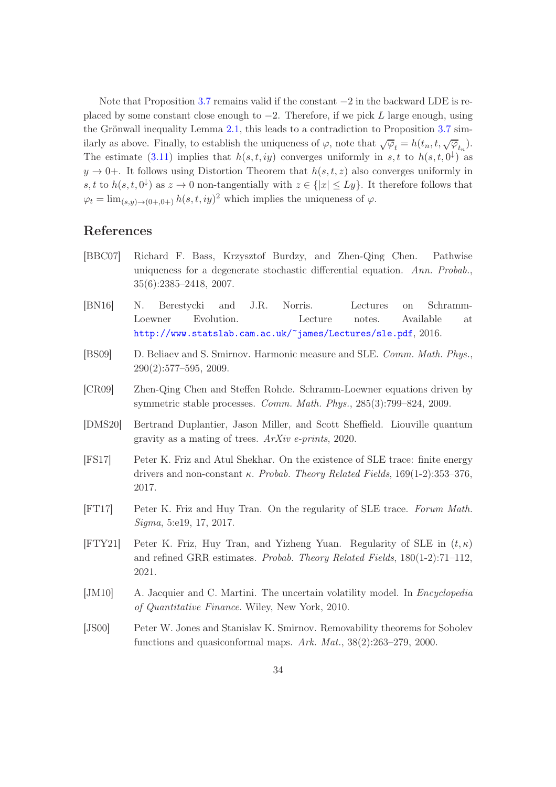Note that Proposition [3.7](#page-20-2) remains valid if the constant −2 in the backward LDE is replaced by some constant close enough to  $-2$ . Therefore, if we pick L large enough, using the Grönwall inequality Lemma [2.1,](#page-11-6) this leads to a contradiction to Proposition [3.7](#page-20-2) similarly as above. Finally, to establish the uniqueness of  $\varphi$ , note that  $\sqrt{\varphi}_t = h(t_n, t, \sqrt{\varphi}_{t_n}).$ The estimate [\(3.11\)](#page-15-0) implies that  $h(s,t,iy)$  converges uniformly in s, t to  $h(s,t,0^{\downarrow})$  as  $y \to 0^+$ . It follows using Distortion Theorem that  $h(s, t, z)$  also converges uniformly in s, t to  $h(s, t, 0^{\downarrow})$  as  $z \to 0$  non-tangentially with  $z \in \{|x| \leq Ly\}$ . It therefore follows that  $\varphi_t = \lim_{(s,y)\to(0+,0+)} h(s,t, iy)^2$  which implies the uniqueness of  $\varphi$ .

# References

- <span id="page-33-5"></span>[BBC07] Richard F. Bass, Krzysztof Burdzy, and Zhen-Qing Chen. Pathwise uniqueness for a degenerate stochastic differential equation. Ann. Probab., 35(6):2385–2418, 2007.
- <span id="page-33-0"></span>[BN16] N. Berestycki and J.R. Norris. Lectures on Schramm-Loewner Evolution. Lecture notes. Available at <http://www.statslab.cam.ac.uk/~james/Lectures/sle.pdf>, 2016.
- <span id="page-33-7"></span>[BS09] D. Beliaev and S. Smirnov. Harmonic measure and SLE. Comm. Math. Phys., 290(2):577–595, 2009.
- <span id="page-33-8"></span>[CR09] Zhen-Qing Chen and Steffen Rohde. Schramm-Loewner equations driven by symmetric stable processes. Comm. Math. Phys., 285(3):799–824, 2009.
- <span id="page-33-4"></span>[DMS20] Bertrand Duplantier, Jason Miller, and Scott Sheffield. Liouville quantum gravity as a mating of trees. ArXiv e-prints, 2020.
- <span id="page-33-1"></span>[FS17] Peter K. Friz and Atul Shekhar. On the existence of SLE trace: finite energy drivers and non-constant  $\kappa$ . Probab. Theory Related Fields, 169(1-2):353-376, 2017.
- <span id="page-33-2"></span>[FT17] Peter K. Friz and Huy Tran. On the regularity of SLE trace. Forum Math. Sigma, 5:e19, 17, 2017.
- <span id="page-33-3"></span>[FTY21] Peter K. Friz, Huy Tran, and Yizheng Yuan. Regularity of SLE in  $(t, \kappa)$ and refined GRR estimates. Probab. Theory Related Fields, 180(1-2):71–112, 2021.
- <span id="page-33-9"></span>[JM10] A. Jacquier and C. Martini. The uncertain volatility model. In *Encyclopedia* of Quantitative Finance. Wiley, New York, 2010.
- <span id="page-33-6"></span>[JS00] Peter W. Jones and Stanislav K. Smirnov. Removability theorems for Sobolev functions and quasiconformal maps. Ark. Mat., 38(2):263–279, 2000.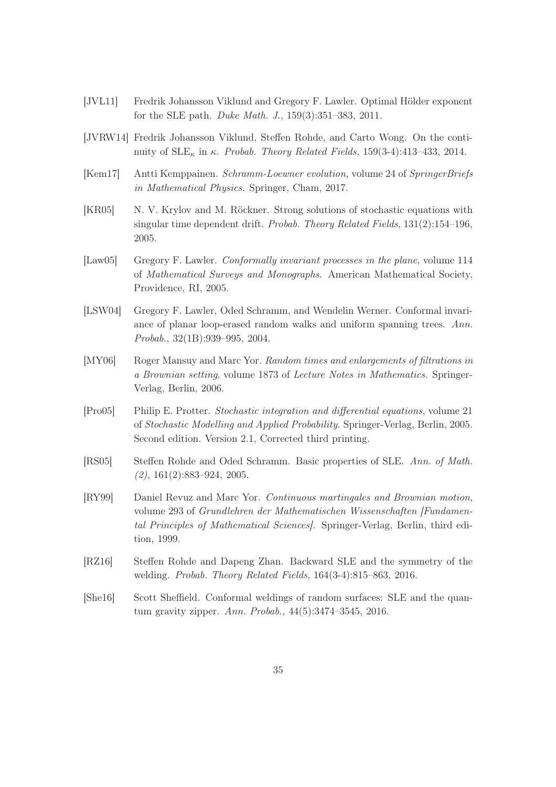- <span id="page-34-5"></span>[JVL11] Fredrik Johansson Viklund and Gregory F. Lawler. Optimal Hölder exponent for the SLE path. Duke Math. J., 159(3):351–383, 2011.
- <span id="page-34-8"></span>[JVRW14] Fredrik Johansson Viklund, Steffen Rohde, and Carto Wong. On the continuity of  $SLE_{\kappa}$  in κ. Probab. Theory Related Fields, 159(3-4):413–433, 2014.
- <span id="page-34-11"></span>[Kem17] Antti Kemppainen. Schramm-Loewner evolution, volume 24 of SpringerBriefs in Mathematical Physics. Springer, Cham, 2017.
- <span id="page-34-10"></span>[KR05] N. V. Krylov and M. Röckner. Strong solutions of stochastic equations with singular time dependent drift. Probab. Theory Related Fields, 131(2):154–196, 2005.
- <span id="page-34-0"></span>[Law05] Gregory F. Lawler. Conformally invariant processes in the plane, volume 114 of Mathematical Surveys and Monographs. American Mathematical Society, Providence, RI, 2005.
- <span id="page-34-2"></span>[LSW04] Gregory F. Lawler, Oded Schramm, and Wendelin Werner. Conformal invariance of planar loop-erased random walks and uniform spanning trees. Ann. Probab., 32(1B):939–995, 2004.
- <span id="page-34-7"></span>[MY06] Roger Mansuy and Marc Yor. Random times and enlargements of filtrations in a Brownian setting, volume 1873 of Lecture Notes in Mathematics. Springer-Verlag, Berlin, 2006.
- <span id="page-34-6"></span>[Pro05] Philip E. Protter. Stochastic integration and differential equations, volume 21 of Stochastic Modelling and Applied Probability. Springer-Verlag, Berlin, 2005. Second edition. Version 2.1, Corrected third printing.
- <span id="page-34-1"></span>[RS05] Steffen Rohde and Oded Schramm. Basic properties of SLE. Ann. of Math.  $(2), 161(2):883-924, 2005.$
- <span id="page-34-9"></span>[RY99] Daniel Revuz and Marc Yor. Continuous martingales and Brownian motion, volume 293 of Grundlehren der Mathematischen Wissenschaften [Fundamental Principles of Mathematical Sciences]. Springer-Verlag, Berlin, third edition, 1999.
- <span id="page-34-3"></span>[RZ16] Steffen Rohde and Dapeng Zhan. Backward SLE and the symmetry of the welding. Probab. Theory Related Fields, 164(3-4):815–863, 2016.
- <span id="page-34-4"></span>[She16] Scott Sheffield. Conformal weldings of random surfaces: SLE and the quantum gravity zipper. Ann. Probab., 44(5):3474–3545, 2016.